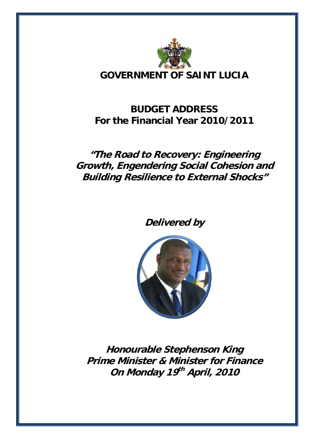

# **GOVERNMENT OF SAINT LUCIA**

# **BUDGET ADDRESS For the Financial Year 2010/2011**

# **"The Road to Recovery: Engineering Growth, Engendering Social Cohesion and Building Resilience to External Shocks"**

**Delivered by** 



**Honourable Stephenson King Prime Minister & Minister for Finance On Monday 19th April, 2010**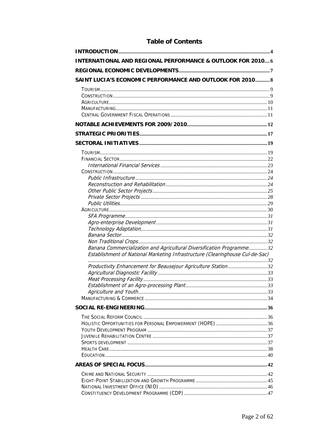| <b>INTERNATIONAL AND REGIONAL PERFORMANCE &amp; OUTLOOK FOR 20106</b>         |  |
|-------------------------------------------------------------------------------|--|
|                                                                               |  |
| SAINT LUCIA'S ECONOMIC PERFORMANCE AND OUTLOOK FOR 2010 8                     |  |
|                                                                               |  |
|                                                                               |  |
|                                                                               |  |
|                                                                               |  |
|                                                                               |  |
|                                                                               |  |
|                                                                               |  |
|                                                                               |  |
|                                                                               |  |
|                                                                               |  |
|                                                                               |  |
|                                                                               |  |
|                                                                               |  |
|                                                                               |  |
|                                                                               |  |
|                                                                               |  |
|                                                                               |  |
|                                                                               |  |
|                                                                               |  |
|                                                                               |  |
|                                                                               |  |
|                                                                               |  |
| Banana Commercialization and Agricultural Diversification Programme32         |  |
| Establishment of National Marketing Infrastructure (Clearinghouse Cul-de-Sac) |  |
| Productivity Enhancement for Beausejour Agriculture Station32                 |  |
|                                                                               |  |
|                                                                               |  |
|                                                                               |  |
|                                                                               |  |
|                                                                               |  |
|                                                                               |  |
|                                                                               |  |
|                                                                               |  |
|                                                                               |  |
|                                                                               |  |
|                                                                               |  |
|                                                                               |  |
|                                                                               |  |
|                                                                               |  |
|                                                                               |  |
|                                                                               |  |
|                                                                               |  |
|                                                                               |  |

## **Table of Contents**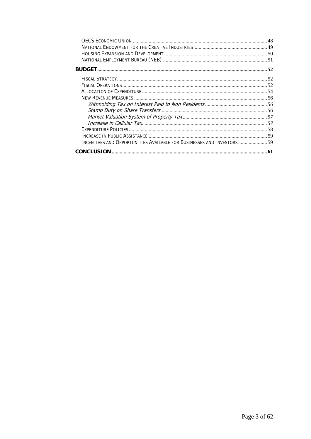| INCENTIVES AND OPPORTUNITIES AVAILABLE FOR BUSINESSES AND INVESTORS 59 |  |
|------------------------------------------------------------------------|--|
|                                                                        |  |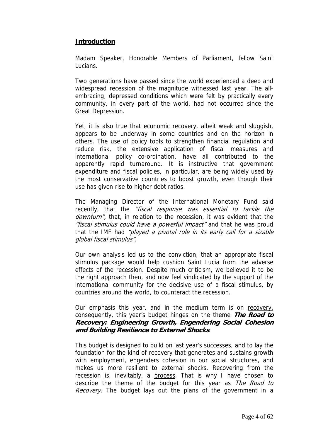## **Introduction**

Madam Speaker, Honorable Members of Parliament, fellow Saint Lucians.

Two generations have passed since the world experienced a deep and widespread recession of the magnitude witnessed last year. The allembracing, depressed conditions which were felt by practically every community, in every part of the world, had not occurred since the Great Depression.

Yet, it is also true that economic recovery, albeit weak and sluggish, appears to be underway in some countries and on the horizon in others. The use of policy tools to strengthen financial regulation and reduce risk, the extensive application of fiscal measures and international policy co-ordination, have all contributed to the apparently rapid turnaround. It is instructive that government expenditure and fiscal policies, in particular, are being widely used by the most conservative countries to boost growth, even though their use has given rise to higher debt ratios.

The Managing Director of the International Monetary Fund said recently, that the "fiscal response was essential to tackle the downturn", that, in relation to the recession, it was evident that the "fiscal stimulus could have a powerful impact" and that he was proud that the IMF had "played a pivotal role in its early call for a sizable global fiscal stimulus".

Our own analysis led us to the conviction, that an appropriate fiscal stimulus package would help cushion Saint Lucia from the adverse effects of the recession. Despite much criticism, we believed it to be the right approach then, and now feel vindicated by the support of the international community for the decisive use of a fiscal stimulus, by countries around the world, to counteract the recession.

Our emphasis this year, and in the medium term is on recovery, consequently, this year's budget hinges on the theme **The Road to Recovery: Engineering Growth, Engendering Social Cohesion and Building Resilience to External Shocks**.

This budget is designed to build on last year's successes, and to lay the foundation for the kind of recovery that generates and sustains growth with employment, engenders cohesion in our social structures, and makes us more resilient to external shocks. Recovering from the recession is, inevitably, a process. That is why I have chosen to describe the theme of the budget for this year as The Road to Recovery. The budget lays out the plans of the government in a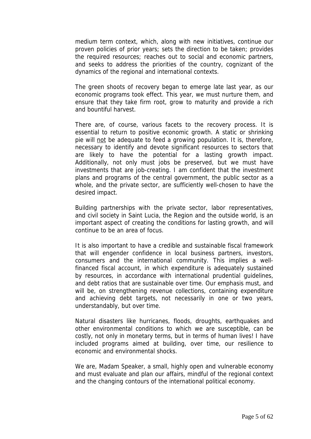medium term context, which, along with new initiatives, continue our proven policies of prior years; sets the direction to be taken; provides the required resources; reaches out to social and economic partners, and seeks to address the priorities of the country, cognizant of the dynamics of the regional and international contexts.

The green shoots of recovery began to emerge late last year, as our economic programs took effect. This year, we must nurture them, and ensure that they take firm root, grow to maturity and provide a rich and bountiful harvest.

There are, of course, various facets to the recovery process. It is essential to return to positive economic growth. A static or shrinking pie will not be adequate to feed a growing population. It is, therefore, necessary to identify and devote significant resources to sectors that are likely to have the potential for a lasting growth impact. Additionally, not only must jobs be preserved, but we must have investments that are job-creating. I am confident that the investment plans and programs of the central government, the public sector as a whole, and the private sector, are sufficiently well-chosen to have the desired impact.

Building partnerships with the private sector, labor representatives, and civil society in Saint Lucia, the Region and the outside world, is an important aspect of creating the conditions for lasting growth, and will continue to be an area of focus.

It is also important to have a credible and sustainable fiscal framework that will engender confidence in local business partners, investors, consumers and the international community. This implies a wellfinanced fiscal account, in which expenditure is adequately sustained by resources, in accordance with international prudential guidelines, and debt ratios that are sustainable over time. Our emphasis must, and will be, on strengthening revenue collections, containing expenditure and achieving debt targets, not necessarily in one or two years, understandably, but over time.

Natural disasters like hurricanes, floods, droughts, earthquakes and other environmental conditions to which we are susceptible, can be costly, not only in monetary terms, but in terms of human lives! I have included programs aimed at building, over time, our resilience to economic and environmental shocks.

We are, Madam Speaker, a small, highly open and vulnerable economy and must evaluate and plan our affairs, mindful of the regional context and the changing contours of the international political economy.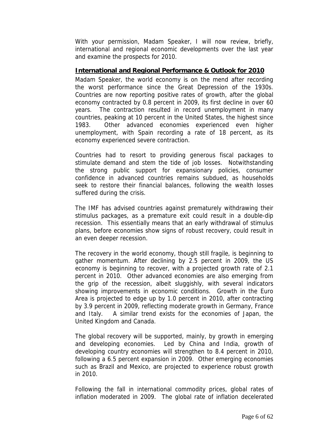With your permission, Madam Speaker, I will now review, briefly, international and regional economic developments over the last year and examine the prospects for 2010.

## **International and Regional Performance & Outlook for 2010**

Madam Speaker, the world economy is on the mend after recording the worst performance since the Great Depression of the 1930s. Countries are now reporting positive rates of growth, after the global economy contracted by 0.8 percent in 2009, its first decline in over 60 years. The contraction resulted in record unemployment in many countries, peaking at 10 percent in the United States, the highest since 1983. Other advanced economies experienced even higher unemployment, with Spain recording a rate of 18 percent, as its economy experienced severe contraction.

Countries had to resort to providing generous fiscal packages to stimulate demand and stem the tide of job losses. Notwithstanding the strong public support for expansionary policies, consumer confidence in advanced countries remains subdued, as households seek to restore their financial balances, following the wealth losses suffered during the crisis.

The IMF has advised countries against prematurely withdrawing their stimulus packages, as a premature exit could result in a double-dip recession. This essentially means that an early withdrawal of stimulus plans, before economies show signs of robust recovery, could result in an even deeper recession.

The recovery in the world economy, though still fragile, is beginning to gather momentum. After declining by 2.5 percent in 2009, the US economy is beginning to recover, with a projected growth rate of 2.1 percent in 2010. Other advanced economies are also emerging from the grip of the recession, albeit sluggishly, with several indicators showing improvements in economic conditions. Growth in the Euro Area is projected to edge up by 1.0 percent in 2010, after contracting by 3.9 percent in 2009, reflecting moderate growth in Germany, France and Italy. A similar trend exists for the economies of Japan, the United Kingdom and Canada.

The global recovery will be supported, mainly, by growth in emerging and developing economies. Led by China and India, growth of developing country economies will strengthen to 8.4 percent in 2010, following a 6.5 percent expansion in 2009. Other emerging economies such as Brazil and Mexico, are projected to experience robust growth in 2010.

Following the fall in international commodity prices, global rates of inflation moderated in 2009. The global rate of inflation decelerated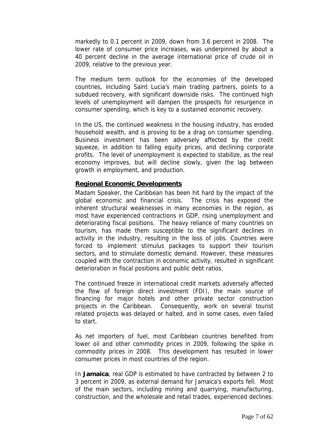markedly to 0.1 percent in 2009, down from 3.6 percent in 2008. The lower rate of consumer price increases, was underpinned by about a 40 percent decline in the average international price of crude oil in 2009, relative to the previous year.

The medium term outlook for the economies of the developed countries, including Saint Lucia's main trading partners, points to a subdued recovery, with significant downside risks. The continued high levels of unemployment will dampen the prospects for resurgence in consumer spending, which is key to a sustained economic recovery.

In the US, the continued weakness in the housing industry, has eroded household wealth, and is proving to be a drag on consumer spending. Business investment has been adversely affected by the credit squeeze, in addition to falling equity prices, and declining corporate profits. The level of unemployment is expected to stabilize, as the real economy improves, but will decline slowly, given the lag between growth in employment, and production.

#### **Regional Economic Developments**

Madam Speaker, the Caribbean has been hit hard by the impact of the global economic and financial crisis. The crisis has exposed the inherent structural weaknesses in many economies in the region, as most have experienced contractions in GDP, rising unemployment and deteriorating fiscal positions. The heavy reliance of many countries on tourism, has made them susceptible to the significant declines in activity in the industry, resulting in the loss of jobs. Countries were forced to implement stimulus packages to support their tourism sectors, and to stimulate domestic demand. However, these measures coupled with the contraction in economic activity, resulted in significant deterioration in fiscal positions and public debt ratios.

The continued freeze in international credit markets adversely affected the flow of foreign direct investment (FDI), the main source of financing for major hotels and other private sector construction projects in the Caribbean. Consequently, work on several tourist related projects was delayed or halted, and in some cases, even failed to start.

As net importers of fuel, most Caribbean countries benefited from lower oil and other commodity prices in 2009, following the spike in commodity prices in 2008. This development has resulted in lower consumer prices in most countries of the region.

In **Jamaica**, real GDP is estimated to have contracted by between 2 to 3 percent in 2009, as external demand for Jamaica's exports fell. Most of the main sectors, including mining and quarrying, manufacturing, construction, and the wholesale and retail trades, experienced declines.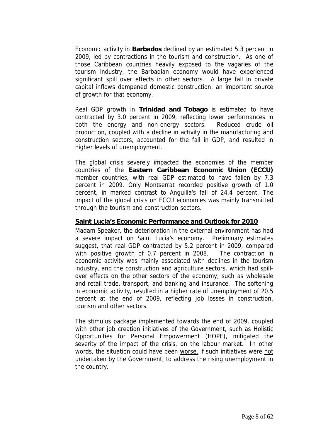Economic activity in **Barbados** declined by an estimated 5.3 percent in 2009, led by contractions in the tourism and construction. As one of those Caribbean countries heavily exposed to the vagaries of the tourism industry, the Barbadian economy would have experienced significant spill over effects in other sectors. A large fall in private capital inflows dampened domestic construction, an important source of growth for that economy.

Real GDP growth in **Trinidad and Tobago** is estimated to have contracted by 3.0 percent in 2009, reflecting lower performances in both the energy and non-energy sectors. Reduced crude oil production, coupled with a decline in activity in the manufacturing and construction sectors, accounted for the fall in GDP, and resulted in higher levels of unemployment.

The global crisis severely impacted the economies of the member countries of the **Eastern Caribbean Economic Union (ECCU)**  member countries, with real GDP estimated to have fallen by 7.3 percent in 2009. Only Montserrat recorded positive growth of 1.0 percent, in marked contrast to Anguilla's fall of 24.4 percent. The impact of the global crisis on ECCU economies was mainly transmitted through the tourism and construction sectors.

#### **Saint Lucia's Economic Performance and Outlook for 2010**

Madam Speaker, the deterioration in the external environment has had a severe impact on Saint Lucia's economy. Preliminary estimates suggest, that real GDP contracted by 5.2 percent in 2009, compared with positive growth of 0.7 percent in 2008. The contraction in economic activity was mainly associated with declines in the tourism industry, and the construction and agriculture sectors, which had spillover effects on the other sectors of the economy, such as wholesale and retail trade, transport, and banking and insurance. The softening in economic activity, resulted in a higher rate of unemployment of 20.5 percent at the end of 2009, reflecting job losses in construction, tourism and other sectors.

The stimulus package implemented towards the end of 2009, coupled with other job creation initiatives of the Government, such as Holistic Opportunities for Personal Empowerment (HOPE), mitigated the severity of the impact of the crisis, on the labour market. In other words, the situation could have been worse, if such initiatives were not undertaken by the Government, to address the rising unemployment in the country.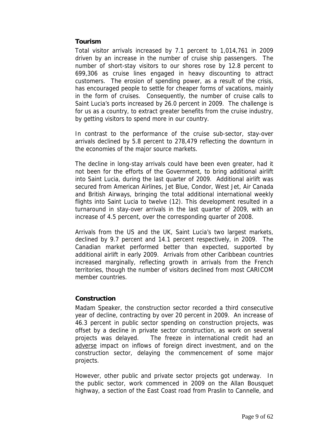## **Tourism**

Total visitor arrivals increased by 7.1 percent to 1,014,761 in 2009 driven by an increase in the number of cruise ship passengers. The number of short-stay visitors to our shores rose by 12.8 percent to 699,306 as cruise lines engaged in heavy discounting to attract customers. The erosion of spending power, as a result of the crisis, has encouraged people to settle for cheaper forms of vacations, mainly in the form of cruises. Consequently, the number of cruise calls to Saint Lucia's ports increased by 26.0 percent in 2009. The challenge is for us as a country, to extract greater benefits from the cruise industry, by getting visitors to spend more in our country.

In contrast to the performance of the cruise sub-sector, stay-over arrivals declined by 5.8 percent to 278,479 reflecting the downturn in the economies of the major source markets.

The decline in long-stay arrivals could have been even greater, had it not been for the efforts of the Government, to bring additional airlift into Saint Lucia, during the last quarter of 2009. Additional airlift was secured from American Airlines, Jet Blue, Condor, West Jet, Air Canada and British Airways, bringing the total additional international weekly flights into Saint Lucia to twelve (12). This development resulted in a turnaround in stay-over arrivals in the last quarter of 2009, with an increase of 4.5 percent, over the corresponding quarter of 2008.

Arrivals from the US and the UK, Saint Lucia's two largest markets, declined by 9.7 percent and 14.1 percent respectively, in 2009. The Canadian market performed better than expected, supported by additional airlift in early 2009. Arrivals from other Caribbean countries increased marginally, reflecting growth in arrivals from the French territories, though the number of visitors declined from most CARICOM member countries.

## **Construction**

Madam Speaker, the construction sector recorded a third consecutive year of decline, contracting by over 20 percent in 2009. An increase of 46.3 percent in public sector spending on construction projects, was offset by a decline in private sector construction, as work on several projects was delayed. The freeze in international credit had an adverse impact on inflows of foreign direct investment, and on the construction sector, delaying the commencement of some major projects.

However, other public and private sector projects got underway. In the public sector, work commenced in 2009 on the Allan Bousquet highway, a section of the East Coast road from Praslin to Cannelle, and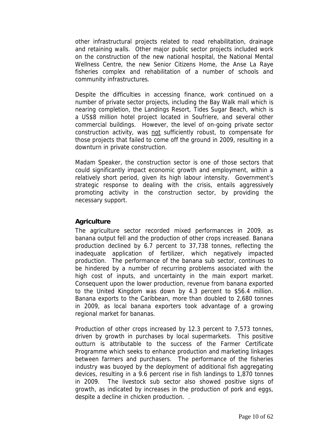other infrastructural projects related to road rehabilitation, drainage and retaining walls. Other major public sector projects included work on the construction of the new national hospital, the National Mental Wellness Centre, the new Senior Citizens Home, the Anse La Raye fisheries complex and rehabilitation of a number of schools and community infrastructures.

Despite the difficulties in accessing finance, work continued on a number of private sector projects, including the Bay Walk mall which is nearing completion, the Landings Resort, Tides Sugar Beach, which is a US\$8 million hotel project located in Soufriere, and several other commercial buildings. However, the level of on-going private sector construction activity, was not sufficiently robust, to compensate for those projects that failed to come off the ground in 2009, resulting in a downturn in private construction.

Madam Speaker, the construction sector is one of those sectors that could significantly impact economic growth and employment, within a relatively short period, given its high labour intensity. Government's strategic response to dealing with the crisis, entails aggressively promoting activity in the construction sector, by providing the necessary support.

## **Agriculture**

The agriculture sector recorded mixed performances in 2009, as banana output fell and the production of other crops increased. Banana production declined by 6.7 percent to 37,738 tonnes, reflecting the inadequate application of fertilizer, which negatively impacted production. The performance of the banana sub sector, continues to be hindered by a number of recurring problems associated with the high cost of inputs, and uncertainty in the main export market. Consequent upon the lower production, revenue from banana exported to the United Kingdom was down by 4.3 percent to \$56.4 million. Banana exports to the Caribbean, more than doubled to 2,680 tonnes in 2009, as local banana exporters took advantage of a growing regional market for bananas.

Production of other crops increased by 12.3 percent to 7,573 tonnes, driven by growth in purchases by local supermarkets. This positive outturn is attributable to the success of the Farmer Certificate Programme which seeks to enhance production and marketing linkages between farmers and purchasers. The performance of the fisheries industry was buoyed by the deployment of additional fish aggregating devices, resulting in a 9.6 percent rise in fish landings to 1,870 tonnes in 2009. The livestock sub sector also showed positive signs of growth, as indicated by increases in the production of pork and eggs, despite a decline in chicken production. .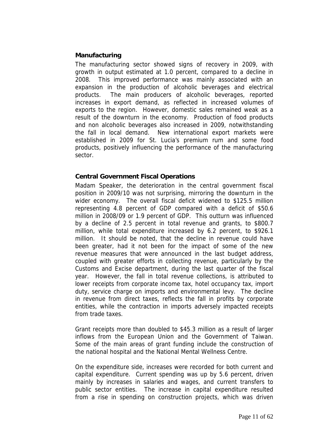## **Manufacturing**

The manufacturing sector showed signs of recovery in 2009, with growth in output estimated at 1.0 percent, compared to a decline in 2008. This improved performance was mainly associated with an expansion in the production of alcoholic beverages and electrical products. The main producers of alcoholic beverages, reported increases in export demand, as reflected in increased volumes of exports to the region. However, domestic sales remained weak as a result of the downturn in the economy. Production of food products and non alcoholic beverages also increased in 2009, notwithstanding the fall in local demand. New international export markets were established in 2009 for St. Lucia's premium rum and some food products, positively influencing the performance of the manufacturing sector.

## **Central Government Fiscal Operations**

Madam Speaker, the deterioration in the central government fiscal position in 2009/10 was not surprising, mirroring the downturn in the wider economy. The overall fiscal deficit widened to \$125.5 million representing 4.8 percent of GDP compared with a deficit of \$50.6 million in 2008/09 or 1.9 percent of GDP. This outturn was influenced by a decline of 2.5 percent in total revenue and grants, to \$800.7 million, while total expenditure increased by 6.2 percent, to \$926.1 million. It should be noted, that the decline in revenue could have been greater, had it not been for the impact of some of the new revenue measures that were announced in the last budget address, coupled with greater efforts in collecting revenue, particularly by the Customs and Excise department, during the last quarter of the fiscal year. However, the fall in total revenue collections, is attributed to lower receipts from corporate income tax, hotel occupancy tax, import duty, service charge on imports and environmental levy. The decline in revenue from direct taxes, reflects the fall in profits by corporate entities, while the contraction in imports adversely impacted receipts from trade taxes.

Grant receipts more than doubled to \$45.3 million as a result of larger inflows from the European Union and the Government of Taiwan. Some of the main areas of grant funding include the construction of the national hospital and the National Mental Wellness Centre.

On the expenditure side, increases were recorded for both current and capital expenditure. Current spending was up by 5.6 percent, driven mainly by increases in salaries and wages, and current transfers to public sector entities. The increase in capital expenditure resulted from a rise in spending on construction projects, which was driven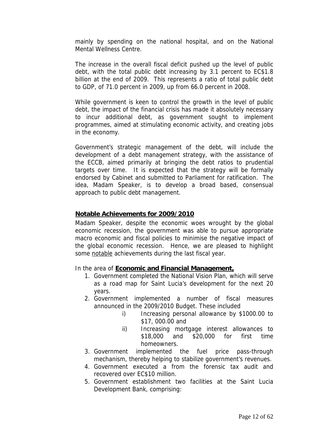mainly by spending on the national hospital, and on the National Mental Wellness Centre.

The increase in the overall fiscal deficit pushed up the level of public debt, with the total public debt increasing by 3.1 percent to EC\$1.8 billion at the end of 2009. This represents a ratio of total public debt to GDP, of 71.0 percent in 2009, up from 66.0 percent in 2008.

While government is keen to control the growth in the level of public debt, the impact of the financial crisis has made it absolutely necessary to incur additional debt, as government sought to implement programmes, aimed at stimulating economic activity, and creating jobs in the economy.

Government's strategic management of the debt, will include the development of a debt management strategy, with the assistance of the ECCB, aimed primarily at bringing the debt ratios to prudential targets over time. It is expected that the strategy will be formally endorsed by Cabinet and submitted to Parliament for ratification. The idea, Madam Speaker, is to develop a broad based, consensual approach to public debt management.

#### **Notable Achievements for 2009/2010**

Madam Speaker, despite the economic woes wrought by the global economic recession, the government was able to pursue appropriate macro economic and fiscal policies to minimise the negative impact of the global economic recession. Hence, we are pleased to highlight some notable achievements during the last fiscal year.

In the area of **Economic and Financial Management,**

- 1. Government completed the National Vision Plan, which will serve as a road map for Saint Lucia's development for the next 20 years.
- 2. Government implemented a number of fiscal measures announced in the 2009/2010 Budget. These included
	- i) Increasing personal allowance by \$1000.00 to \$17, 000.00 and
	- ii) Increasing mortgage interest allowances to \$18,000 and \$20,000 for first time homeowners.
- 3. Government implemented the fuel price pass-through mechanism, thereby helping to stabilize government's revenues.
- 4. Government executed a from the forensic tax audit and recovered over EC\$10 million.
- 5. Government establishment two facilities at the Saint Lucia Development Bank, comprising: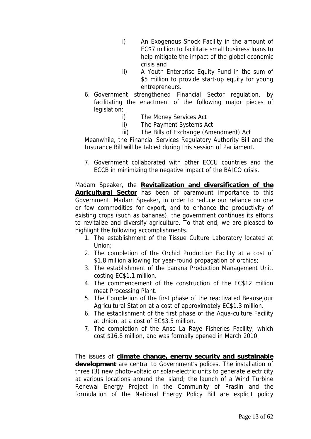- i) An Exogenous Shock Facility in the amount of EC\$7 million to facilitate small business loans to help mitigate the impact of the global economic crisis and
- ii) A Youth Enterprise Equity Fund in the sum of \$5 million to provide start-up equity for young entrepreneurs.
- 6. Government strengthened Financial Sector regulation, by facilitating the enactment of the following major pieces of legislation:
	- i) The Money Services Act
	- ii) The Payment Systems Act
	- iii) The Bills of Exchange (Amendment) Act

Meanwhile, the Financial Services Regulatory Authority Bill and the Insurance Bill will be tabled during this session of Parliament.

7. Government collaborated with other ECCU countries and the ECCB in minimizing the negative impact of the BAICO crisis.

Madam Speaker, the **Revitalization and diversification of the Agricultural Sector** has been of paramount importance to this Government. Madam Speaker, in order to reduce our reliance on one or few commodities for export, and to enhance the productivity of existing crops (such as bananas), the government continues its efforts to revitalize and diversify agriculture. To that end, we are pleased to highlight the following accomplishments.

- 1. The establishment of the Tissue Culture Laboratory located at Union;
- 2. The completion of the Orchid Production Facility at a cost of \$1.8 million allowing for year-round propagation of orchids;
- 3. The establishment of the banana Production Management Unit, costing EC\$1.1 million.
- 4. The commencement of the construction of the EC\$12 million meat Processing Plant.
- 5. The Completion of the first phase of the reactivated Beausejour Agricultural Station at a cost of approximately EC\$1.3 million.
- 6. The establishment of the first phase of the Aqua-culture Facility at Union, at a cost of EC\$3.5 million.
- 7. The completion of the Anse La Raye Fisheries Facility, which cost \$16.8 million, and was formally opened in March 2010.

The issues of **climate change, energy security and sustainable development** are central to Government's polices. The installation of three (3) new photo-voltaic or solar-electric units to generate electricity at various locations around the island; the launch of a Wind Turbine Renewal Energy Project in the Community of Praslin and the formulation of the National Energy Policy Bill are explicit policy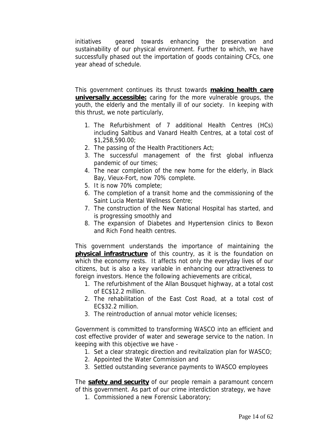initiatives geared towards enhancing the preservation and sustainability of our physical environment. Further to which, we have successfully phased out the importation of goods containing CFCs, one year ahead of schedule.

This government continues its thrust towards **making health care universally accessible:** caring for the more vulnerable groups, the youth, the elderly and the mentally ill of our society. In keeping with this thrust, we note particularly,

- 1. The Refurbishment of 7 additional Health Centres (HCs) including Saltibus and Vanard Health Centres, at a total cost of \$1,258,590.00;
- 2. The passing of the Health Practitioners Act;
- 3. The successful management of the first global influenza pandemic of our times;
- 4. The near completion of the new home for the elderly, in Black Bay, Vieux-Fort, now 70% complete.
- 5. It is now 70% complete;
- 6. The completion of a transit home and the commissioning of the Saint Lucia Mental Wellness Centre;
- 7. The construction of the New National Hospital has started, and is progressing smoothly and
- 8. The expansion of Diabetes and Hypertension clinics to Bexon and Rich Fond health centres.

This government understands the importance of maintaining the **physical infrastructure** of this country, as it is the foundation on which the economy rests. It affects not only the everyday lives of our citizens, but is also a key variable in enhancing our attractiveness to foreign investors. Hence the following achievements are critical,

- 1. The refurbishment of the Allan Bousquet highway, at a total cost of EC\$12.2 million.
- 2. The rehabilitation of the East Cost Road, at a total cost of EC\$32.2 million.
- 3. The reintroduction of annual motor vehicle licenses;

Government is committed to transforming WASCO into an efficient and cost effective provider of water and sewerage service to the nation. In keeping with this objective we have -

- 1. Set a clear strategic direction and revitalization plan for WASCO;
- 2. Appointed the Water Commission and
- 3. Settled outstanding severance payments to WASCO employees

The **safety and security** of our people remain a paramount concern of this government. As part of our crime interdiction strategy, we have

1. Commissioned a new Forensic Laboratory;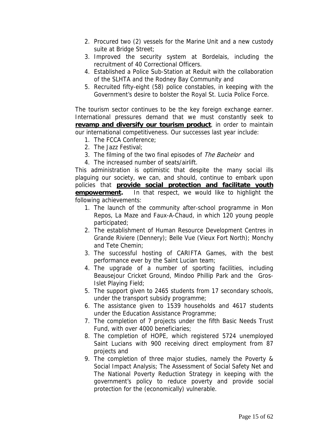- 2. Procured two (2) vessels for the Marine Unit and a new custody suite at Bridge Street;
- 3. Improved the security system at Bordelais, including the recruitment of 40 Correctional Officers.
- 4. Established a Police Sub-Station at Reduit with the collaboration of the SLHTA and the Rodney Bay Community and
- 5. Recruited fifty-eight (58) police constables, in keeping with the Government's desire to bolster the Royal St. Lucia Police Force.

The tourism sector continues to be the key foreign exchange earner. International pressures demand that we must constantly seek to **revamp and diversify our tourism product**, in order to maintain our international competitiveness. Our successes last year include:

- 1. The FCCA Conference;
- 2. The Jazz Festival;
- 3. The filming of the two final episodes of The Bachelor and
- 4. The increased number of seats/airlift.

This administration is optimistic that despite the many social ills plaguing our society, we can, and should, continue to embark upon policies that **provide social protection and facilitate youth empowerment.** In that respect, we would like to highlight the following achievements:

- 1. The launch of the community after-school programme in Mon Repos, La Maze and Faux-A-Chaud, in which 120 young people participated;
- 2. The establishment of Human Resource Development Centres in Grande Riviere (Dennery); Belle Vue (Vieux Fort North); Monchy and Tete Chemin;
- 3. The successful hosting of CARIFTA Games, with the best performance ever by the Saint Lucian team;
- 4. The upgrade of a number of sporting facilities, including Beausejour Cricket Ground, Mindoo Phillip Park and the Gros-Islet Playing Field;
- 5. The support given to 2465 students from 17 secondary schools, under the transport subsidy programme;
- 6. The assistance given to 1539 households and 4617 students under the Education Assistance Programme;
- 7. The completion of 7 projects under the fifth Basic Needs Trust Fund, with over 4000 beneficiaries;
- 8. The completion of HOPE, which registered 5724 unemployed Saint Lucians with 900 receiving direct employment from 87 projects and
- 9. The completion of three major studies, namely the Poverty & Social Impact Analysis; The Assessment of Social Safety Net and The National Poverty Reduction Strategy in keeping with the government's policy to reduce poverty and provide social protection for the (economically) vulnerable.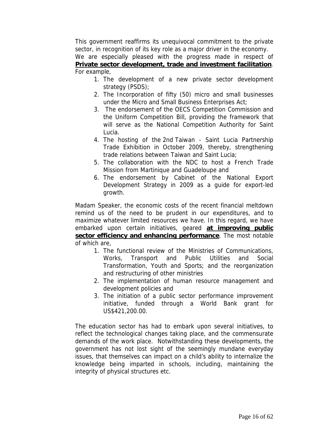This government reaffirms its unequivocal commitment to the private sector, in recognition of its key role as a major driver in the economy.

We are especially pleased with the progress made in respect of **Private sector development, trade and investment facilitation**. For example,

- 1. The development of a new private sector development strategy (PSDS);
- 2. The Incorporation of fifty (50) micro and small businesses under the Micro and Small Business Enterprises Act;
- 3. The endorsement of the OECS Competition Commission and the Uniform Competition Bill, providing the framework that will serve as the National Competition Authority for Saint Lucia.
- 4. The hosting of the 2nd Taiwan Saint Lucia Partnership Trade Exhibition in October 2009, thereby, strengthening trade relations between Taiwan and Saint Lucia;
- 5. The collaboration with the NDC to host a French Trade Mission from Martinique and Guadeloupe and
- 6. The endorsement by Cabinet of the National Export Development Strategy in 2009 as a guide for export-led growth.

Madam Speaker, the economic costs of the recent financial meltdown remind us of the need to be prudent in our expenditures, and to maximize whatever limited resources we have. In this regard, we have embarked upon certain initiatives, geared **at improving public sector efficiency and enhancing performance**. The most notable of which are,

- 1. The functional review of the Ministries of Communications, Works, Transport and Public Utilities and Social Transformation, Youth and Sports; and the reorganization and restructuring of other ministries
- 2. The implementation of human resource management and development policies and
- 3. The initiation of a public sector performance improvement initiative, funded through a World Bank grant for US\$421,200.00.

The education sector has had to embark upon several initiatives, to reflect the technological changes taking place, and the commensurate demands of the work place. Notwithstanding these developments, the government has not lost sight of the seemingly mundane everyday issues, that themselves can impact on a child's ability to internalize the knowledge being imparted in schools, including, maintaining the integrity of physical structures etc.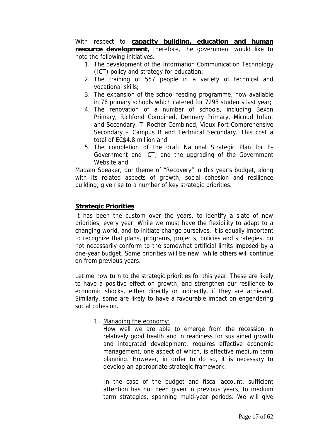With respect to **capacity building, education and human resource development,** therefore, the government would like to note the following initiatives.

- 1. The development of the Information Communication Technology (ICT) policy and strategy for education;
- 2. The training of 557 people in a variety of technical and vocational skills;
- 3. The expansion of the school feeding programme, now available in 76 primary schools which catered for 7298 students last year;
- 4. The renovation of a number of schools, including Bexon Primary, Richfond Combined, Dennery Primary, Micoud Infant and Secondary, Ti Rocher Combined, Vieux Fort Comprehensive Secondary – Campus B and Technical Secondary. This cost a total of EC\$4.8 million and
- 5. The completion of the draft National Strategic Plan for E-Government and ICT, and the upgrading of the Government Website and

Madam Speaker, our theme of "Recovery" in this year's budget, along with its related aspects of growth, social cohesion and resilience building, give rise to a number of key strategic priorities.

## **Strategic Priorities**

It has been the custom over the years, to identify a slate of new priorities, every year. While we must have the flexibility to adapt to a changing world, and to initiate change ourselves, it is equally important to recognize that plans, programs, projects, policies and strategies, do not necessarily conform to the somewhat artificial limits imposed by a one-year budget. Some priorities will be new, while others will continue on from previous years.

Let me now turn to the strategic priorities for this year. These are likely to have a positive effect on growth, and strengthen our resilience to economic shocks, either directly or indirectly, if they are achieved. Similarly, some are likely to have a favourable impact on engendering social cohesion.

## 1. Managing the economy:

How well we are able to emerge from the recession in relatively good health and in readiness for sustained growth and integrated development, requires effective economic management, one aspect of which, is effective medium term planning. However, in order to do so, it is necessary to develop an appropriate strategic framework.

In the case of the budget and fiscal account, sufficient attention has not been given in previous years, to medium term strategies, spanning multi-year periods. We will give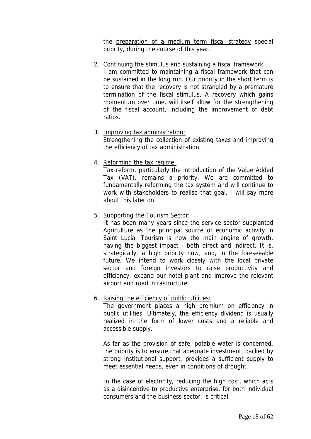the preparation of a medium term fiscal strategy special priority, during the course of this year.

2. Continuing the stimulus and sustaining a fiscal framework: I am committed to maintaining a fiscal framework that can be sustained in the long run. Our priority in the short term is to ensure that the recovery is not strangled by a premature termination of the fiscal stimulus. A recovery which gains momentum over time, will itself allow for the strengthening of the fiscal account, including the improvement of debt ratios.

#### 3. Improving tax administration:

Strengthening the collection of existing taxes and improving the efficiency of tax administration.

## 4. Reforming the tax regime:

Tax reform, particularly the introduction of the Value Added Tax (VAT), remains a priority. We are committed to fundamentally reforming the tax system and will continue to work with stakeholders to realise that goal. I will say more about this later on.

## 5. Supporting the Tourism Sector:

It has been many years since the service sector supplanted Agriculture as the principal source of economic activity in Saint Lucia. Tourism is now the main engine of growth, having the biggest impact - both direct and indirect. It is, strategically, a high priority now, and, in the foreseeable future. We intend to work closely with the local private sector and foreign investors to raise productivity and efficiency, expand our hotel plant and improve the relevant airport and road infrastructure.

#### 6. Raising the efficiency of public utilities:

The government places a high premium on efficiency in public utilities. Ultimately, the efficiency dividend is usually realized in the form of lower costs and a reliable and accessible supply.

As far as the provision of safe, potable water is concerned, the priority is to ensure that adequate investment, backed by strong institutional support, provides a sufficient supply to meet essential needs, even in conditions of drought.

In the case of electricity, reducing the high cost, which acts as a disincentive to productive enterprise, for both individual consumers and the business sector, is critical.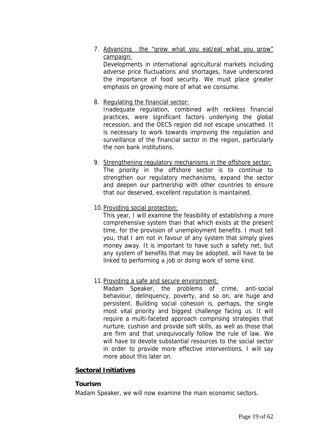7. Advancing the "grow what you eat/eat what you grow" campaign:

Developments in international agricultural markets including adverse price fluctuations and shortages, have underscored the importance of food security. We must place greater emphasis on growing more of what we consume.

8. Regulating the financial sector:

Inadequate regulation, combined with reckless financial practices, were significant factors underlying the global recession, and the OECS region did not escape unscathed. It is necessary to work towards improving the regulation and surveillance of the financial sector in the region, particularly the non bank institutions.

- 9. Strengthening regulatory mechanisms in the offshore sector: The priority in the offshore sector is to continue to strengthen our regulatory mechanisms, expand the sector and deepen our partnership with other countries to ensure that our deserved, excellent reputation is maintained.
- 10. Providing social protection:

This year, I will examine the feasibility of establishing a more comprehensive system than that which exists at the present time, for the provision of unemployment benefits. I must tell you, that I am not in favour of any system that simply gives money away. It is important to have such a safety net, but any system of benefits that may be adopted, will have to be linked to performing a job or doing work of some kind.

11.Providing a safe and secure environment:

Madam Speaker, the problems of crime, anti-social behaviour, delinquency, poverty, and so on, are huge and persistent. Building social cohesion is, perhaps, the single most vital priority and biggest challenge facing us. It will require a multi-faceted approach comprising strategies that nurture, cushion and provide soft skills, as well as those that are firm and that unequivocally follow the rule of law. We will have to devote substantial resources to the social sector in order to provide more effective interventions. I will say more about this later on.

## **Sectoral Initiatives**

## **Tourism**

Madam Speaker, we will now examine the main economic sectors.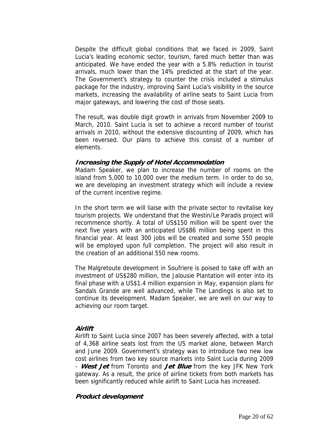Despite the difficult global conditions that we faced in 2009, Saint Lucia's leading economic sector, tourism, fared much better than was anticipated. We have ended the year with a 5.8% reduction in tourist arrivals, much lower than the 14% predicted at the start of the year. The Government's strategy to counter the crisis included a stimulus package for the industry, improving Saint Lucia's visibility in the source markets, increasing the availability of airline seats to Saint Lucia from major gateways, and lowering the cost of those seats.

The result, was double digit growth in arrivals from November 2009 to March, 2010. Saint Lucia is set to achieve a record number of tourist arrivals in 2010, without the extensive discounting of 2009, which has been reversed. Our plans to achieve this consist of a number of elements.

## **Increasing the Supply of Hotel Accommodation**

Madam Speaker, we plan to increase the number of rooms on the island from 5,000 to 10,000 over the medium term. In order to do so, we are developing an investment strategy which will include a review of the current incentive regime.

In the short term we will liaise with the private sector to revitalise key tourism projects. We understand that the Westin/Le Paradis project will recommence shortly. A total of US\$150 million will be spent over the next five years with an anticipated US\$86 million being spent in this financial year. At least 300 jobs will be created and some 550 people will be employed upon full completion. The project will also result in the creation of an additional 550 new rooms.

The Malgretoute development in Soufriere is poised to take off with an investment of US\$280 million, the Jalousie Plantation will enter into its final phase with a US\$1.4 million expansion in May, expansion plans for Sandals Grande are well advanced, while The Landings is also set to continue its development. Madam Speaker, we are well on our way to achieving our room target.

## **Airlift**

Airlift to Saint Lucia since 2007 has been severely affected, with a total of 4,368 airline seats lost from the US market alone, between March and June 2009. Government's strategy was to introduce two new low cost airlines from two key source markets into Saint Lucia during 2009 - **West Jet** from Toronto and **Jet Blue** from the key JFK New York gateway. As a result, the price of airline tickets from both markets has been significantly reduced while airlift to Saint Lucia has increased.

## **Product development**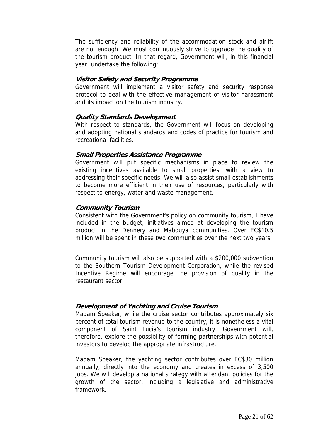The sufficiency and reliability of the accommodation stock and airlift are not enough. We must continuously strive to upgrade the quality of the tourism product. In that regard, Government will, in this financial year, undertake the following:

#### **Visitor Safety and Security Programme**

Government will implement a visitor safety and security response protocol to deal with the effective management of visitor harassment and its impact on the tourism industry.

#### **Quality Standards Development**

With respect to standards, the Government will focus on developing and adopting national standards and codes of practice for tourism and recreational facilities.

#### **Small Properties Assistance Programme**

Government will put specific mechanisms in place to review the existing incentives available to small properties, with a view to addressing their specific needs. We will also assist small establishments to become more efficient in their use of resources, particularly with respect to energy, water and waste management.

#### **Community Tourism**

Consistent with the Government's policy on community tourism, I have included in the budget, initiatives aimed at developing the tourism product in the Dennery and Mabouya communities. Over EC\$10.5 million will be spent in these two communities over the next two years.

Community tourism will also be supported with a \$200,000 subvention to the Southern Tourism Development Corporation, while the revised Incentive Regime will encourage the provision of quality in the restaurant sector.

## **Development of Yachting and Cruise Tourism**

Madam Speaker, while the cruise sector contributes approximately six percent of total tourism revenue to the country, it is nonetheless a vital component of Saint Lucia's tourism industry. Government will, therefore, explore the possibility of forming partnerships with potential investors to develop the appropriate infrastructure.

Madam Speaker, the yachting sector contributes over EC\$30 million annually, directly into the economy and creates in excess of 3,500 jobs. We will develop a national strategy with attendant policies for the growth of the sector, including a legislative and administrative framework.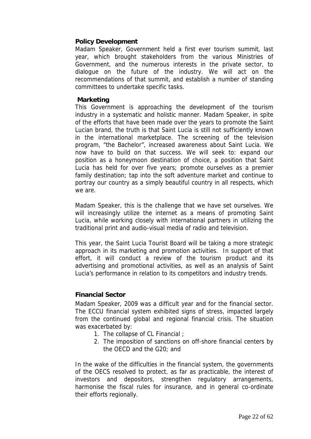## **Policy Development**

Madam Speaker, Government held a first ever tourism summit, last year, which brought stakeholders from the various Ministries of Government, and the numerous interests in the private sector, to dialogue on the future of the industry. We will act on the recommendations of that summit, and establish a number of standing committees to undertake specific tasks.

## **Marketing**

This Government is approaching the development of the tourism industry in a systematic and holistic manner. Madam Speaker, in spite of the efforts that have been made over the years to promote the Saint Lucian brand, the truth is that Saint Lucia is still not sufficiently known in the international marketplace. The screening of the television program, "the Bachelor", increased awareness about Saint Lucia. We now have to build on that success. We will seek to: expand our position as a honeymoon destination of choice, a position that Saint Lucia has held for over five years; promote ourselves as a premier family destination; tap into the soft adventure market and continue to portray our country as a simply beautiful country in all respects, which we are.

Madam Speaker, this is the challenge that we have set ourselves. We will increasingly utilize the internet as a means of promoting Saint Lucia, while working closely with international partners in utilizing the traditional print and audio-visual media of radio and television.

This year, the Saint Lucia Tourist Board will be taking a more strategic approach in its marketing and promotion activities. In support of that effort, it will conduct a review of the tourism product and its advertising and promotional activities, as well as an analysis of Saint Lucia's performance in relation to its competitors and industry trends.

## **Financial Sector**

Madam Speaker, 2009 was a difficult year and for the financial sector. The ECCU financial system exhibited signs of stress, impacted largely from the continued global and regional financial crisis. The situation was exacerbated by:

- 1. The collapse of CL Financial ;
- 2. The imposition of sanctions on off-shore financial centers by the OECD and the G20; and

In the wake of the difficulties in the financial system, the governments of the OECS resolved to protect, as far as practicable, the interest of investors and depositors, strengthen regulatory arrangements, harmonise the fiscal rules for insurance, and in general co-ordinate their efforts regionally.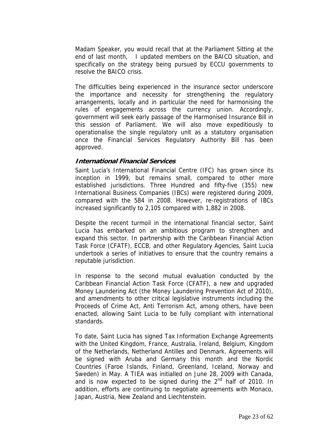Madam Speaker, you would recall that at the Parliament Sitting at the end of last month, I updated members on the BAICO situation, and specifically on the strategy being pursued by ECCU governments to resolve the BAICO crisis.

The difficulties being experienced in the insurance sector underscore the importance and necessity for strengthening the regulatory arrangements, locally and in particular the need for harmonising the rules of engagements across the currency union. Accordingly, government will seek early passage of the Harmonised Insurance Bill in this session of Parliament. We will also move expeditiously to operationalise the single regulatory unit as a statutory organisation once the Financial Services Regulatory Authority Bill has been approved.

## **International Financial Services**

Saint Lucia's International Financial Centre (IFC) has grown since its inception in 1999, but remains small, compared to other more established jurisdictions. Three Hundred and fifty-five (355) new International Business Companies (IBCs) were registered during 2009, compared with the 584 in 2008. However, re-registrations of IBCs increased significantly to 2,105 compared with 1,882 in 2008.

Despite the recent turmoil in the international financial sector, Saint Lucia has embarked on an ambitious program to strengthen and expand this sector. In partnership with the Caribbean Financial Action Task Force (CFATF), ECCB, and other Regulatory Agencies, Saint Lucia undertook a series of initiatives to ensure that the country remains a reputable jurisdiction.

In response to the second mutual evaluation conducted by the Caribbean Financial Action Task Force (CFATF), a new and upgraded Money Laundering Act (the Money Laundering Prevention Act of 2010), and amendments to other critical legislative instruments including the Proceeds of Crime Act, Anti Terrorism Act, among others, have been enacted, allowing Saint Lucia to be fully compliant with international standards.

To date, Saint Lucia has signed Tax Information Exchange Agreements with the United Kingdom, France, Australia, Ireland, Belgium, Kingdom of the Netherlands, Netherland Antilles and Denmark. Agreements will be signed with Aruba and Germany this month and the Nordic Countries (Faroe Islands, Finland, Greenland, Iceland, Norway and Sweden) in May. A TIEA was initialled on June 28, 2009 with Canada, and is now expected to be signed during the  $2^{nd}$  half of 2010. In addition, efforts are continuing to negotiate agreements with Monaco, Japan, Austria, New Zealand and Liechtenstein.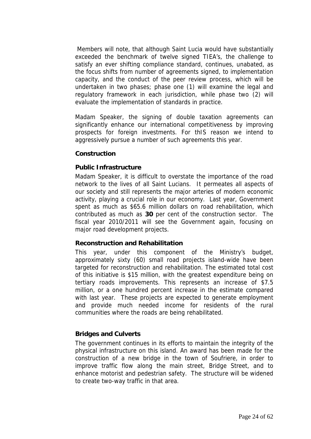Members will note, that although Saint Lucia would have substantially exceeded the benchmark of twelve signed TIEA's, the challenge to satisfy an ever shifting compliance standard, continues, unabated, as the focus shifts from number of agreements signed, to implementation capacity, and the conduct of the peer review process, which will be undertaken in two phases; phase one (1) will examine the legal and regulatory framework in each jurisdiction, while phase two (2) will evaluate the implementation of standards in practice.

Madam Speaker, the signing of double taxation agreements can significantly enhance our international competitiveness by improving prospects for foreign investments. For thIS reason we intend to aggressively pursue a number of such agreements this year.

## **Construction**

#### **Public Infrastructure**

Madam Speaker, it is difficult to overstate the importance of the road network to the lives of all Saint Lucians. It permeates all aspects of our society and still represents the major arteries of modern economic activity, playing a crucial role in our economy. Last year, Government spent as much as \$65.6 million dollars on road rehabilitation, which contributed as much as **30** per cent of the construction sector. The fiscal year 2010/2011 will see the Government again, focusing on major road development projects.

## **Reconstruction and Rehabilitation**

This year, under this component of the Ministry's budget, approximately sixty (60) small road projects island-wide have been targeted for reconstruction and rehabilitation. The estimated total cost of this initiative is \$15 million, with the greatest expenditure being on tertiary roads improvements. This represents an increase of \$7.5 million, or a one hundred percent increase in the estimate compared with last year. These projects are expected to generate employment and provide much needed income for residents of the rural communities where the roads are being rehabilitated.

## **Bridges and Culverts**

The government continues in its efforts to maintain the integrity of the physical infrastructure on this island. An award has been made for the construction of a new bridge in the town of Soufriere, in order to improve traffic flow along the main street, Bridge Street, and to enhance motorist and pedestrian safety. The structure will be widened to create two-way traffic in that area.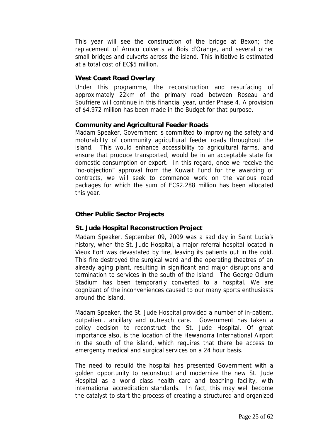This year will see the construction of the bridge at Bexon; the replacement of Armco culverts at Bois d'Orange, and several other small bridges and culverts across the island. This initiative is estimated at a total cost of EC\$5 million.

## **West Coast Road Overlay**

Under this programme, the reconstruction and resurfacing of approximately 22km of the primary road between Roseau and Soufriere will continue in this financial year, under Phase 4. A provision of \$4.972 million has been made in the Budget for that purpose.

## **Community and Agricultural Feeder Roads**

Madam Speaker, Government is committed to improving the safety and motorability of community agricultural feeder roads throughout the island. This would enhance accessibility to agricultural farms, and ensure that produce transported, would be in an acceptable state for domestic consumption or export. In this regard, once we receive the "no-objection" approval from the Kuwait Fund for the awarding of contracts, we will seek to commence work on the various road packages for which the sum of EC\$2.288 million has been allocated this year.

## **Other Public Sector Projects**

## **St. Jude Hospital Reconstruction Project**

Madam Speaker, September 09, 2009 was a sad day in Saint Lucia's history, when the St. Jude Hospital, a major referral hospital located in Vieux Fort was devastated by fire, leaving its patients out in the cold. This fire destroyed the surgical ward and the operating theatres of an already aging plant, resulting in significant and major disruptions and termination to services in the south of the island. The George Odlum Stadium has been temporarily converted to a hospital. We are cognizant of the inconveniences caused to our many sports enthusiasts around the island.

Madam Speaker, the St. Jude Hospital provided a number of in-patient, outpatient, ancillary and outreach care. Government has taken a policy decision to reconstruct the St. Jude Hospital. Of great importance also, is the location of the Hewanorra International Airport in the south of the island, which requires that there be access to emergency medical and surgical services on a 24 hour basis.

The need to rebuild the hospital has presented Government with a golden opportunity to reconstruct and modernize the new St. Jude Hospital as a world class health care and teaching facility, with international accreditation standards. In fact, this may well become the catalyst to start the process of creating a structured and organized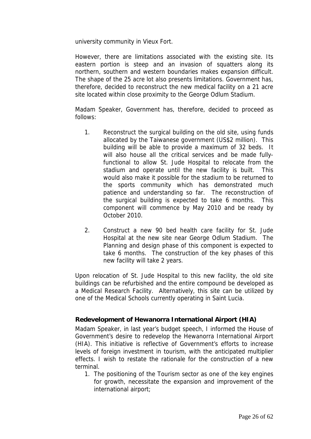university community in Vieux Fort.

However, there are limitations associated with the existing site. Its eastern portion is steep and an invasion of squatters along its northern, southern and western boundaries makes expansion difficult. The shape of the 25 acre lot also presents limitations. Government has, therefore, decided to reconstruct the new medical facility on a 21 acre site located within close proximity to the George Odlum Stadium.

Madam Speaker, Government has, therefore, decided to proceed as follows:

- 1. Reconstruct the surgical building on the old site, using funds allocated by the Taiwanese government (US\$2 million). This building will be able to provide a maximum of 32 beds. It will also house all the critical services and be made fullyfunctional to allow St. Jude Hospital to relocate from the stadium and operate until the new facility is built. This would also make it possible for the stadium to be returned to the sports community which has demonstrated much patience and understanding so far. The reconstruction of the surgical building is expected to take 6 months. This component will commence by May 2010 and be ready by October 2010.
- 2. Construct a new 90 bed health care facility for St. Jude Hospital at the new site near George Odlum Stadium. The Planning and design phase of this component is expected to take 6 months. The construction of the key phases of this new facility will take 2 years.

Upon relocation of St. Jude Hospital to this new facility, the old site buildings can be refurbished and the entire compound be developed as a Medical Research Facility. Alternatively, this site can be utilized by one of the Medical Schools currently operating in Saint Lucia.

## **Redevelopment of Hewanorra International Airport (HIA)**

Madam Speaker, in last year's budget speech, I informed the House of Government's desire to redevelop the Hewanorra International Airport (HIA). This initiative is reflective of Government's efforts to increase levels of foreign investment in tourism, with the anticipated multiplier effects. I wish to restate the rationale for the construction of a new terminal.

1. The positioning of the Tourism sector as one of the key engines for growth, necessitate the expansion and improvement of the international airport;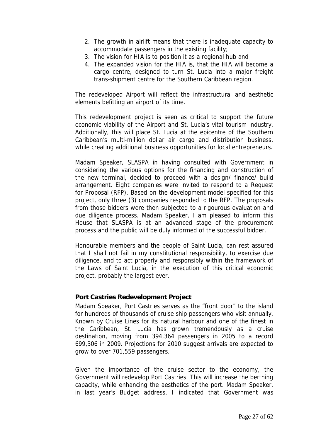- 2. The growth in airlift means that there is inadequate capacity to accommodate passengers in the existing facility;
- 3. The vision for HIA is to position it as a regional hub and
- 4. The expanded vision for the HIA is, that the HIA will become a cargo centre, designed to turn St. Lucia into a major freight trans-shipment centre for the Southern Caribbean region.

The redeveloped Airport will reflect the infrastructural and aesthetic elements befitting an airport of its time.

This redevelopment project is seen as critical to support the future economic viability of the Airport and St. Lucia's vital tourism industry. Additionally, this will place St. Lucia at the epicentre of the Southern Caribbean's multi-million dollar air cargo and distribution business, while creating additional business opportunities for local entrepreneurs.

Madam Speaker, SLASPA in having consulted with Government in considering the various options for the financing and construction of the new terminal, decided to proceed with a design/ finance/ build arrangement. Eight companies were invited to respond to a Request for Proposal (RFP). Based on the development model specified for this project, only three (3) companies responded to the RFP. The proposals from those bidders were then subjected to a rigourous evaluation and due diligence process. Madam Speaker, I am pleased to inform this House that SLASPA is at an advanced stage of the procurement process and the public will be duly informed of the successful bidder.

Honourable members and the people of Saint Lucia, can rest assured that I shall not fail in my constitutional responsibility, to exercise due diligence, and to act properly and responsibly within the framework of the Laws of Saint Lucia, in the execution of this critical economic project, probably the largest ever.

## **Port Castries Redevelopment Project**

Madam Speaker, Port Castries serves as the "front door" to the island for hundreds of thousands of cruise ship passengers who visit annually. Known by Cruise Lines for its natural harbour and one of the finest in the Caribbean, St. Lucia has grown tremendously as a cruise destination, moving from 394,364 passengers in 2005 to a record 699,306 in 2009. Projections for 2010 suggest arrivals are expected to grow to over 701,559 passengers.

Given the importance of the cruise sector to the economy, the Government will redevelop Port Castries. This will increase the berthing capacity, while enhancing the aesthetics of the port. Madam Speaker, in last year's Budget address, I indicated that Government was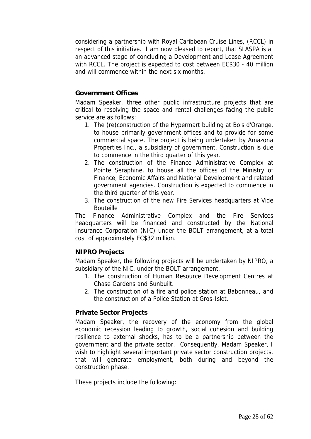considering a partnership with Royal Caribbean Cruise Lines, (RCCL) in respect of this initiative. I am now pleased to report, that SLASPA is at an advanced stage of concluding a Development and Lease Agreement with RCCL. The project is expected to cost between EC\$30 - 40 million and will commence within the next six months.

## **Government Offices**

Madam Speaker, three other public infrastructure projects that are critical to resolving the space and rental challenges facing the public service are as follows:

- 1. The (re)construction of the Hypermart building at Bois d'Orange, to house primarily government offices and to provide for some commercial space. The project is being undertaken by Amazona Properties Inc., a subsidiary of government. Construction is due to commence in the third quarter of this year.
- 2. The construction of the Finance Administrative Complex at Pointe Seraphine, to house all the offices of the Ministry of Finance, Economic Affairs and National Development and related government agencies. Construction is expected to commence in the third quarter of this year.
- 3. The construction of the new Fire Services headquarters at Vide Bouteille

The Finance Administrative Complex and the Fire Services headquarters will be financed and constructed by the National Insurance Corporation (NIC) under the BOLT arrangement, at a total cost of approximately EC\$32 million.

## **NIPRO Projects**

Madam Speaker, the following projects will be undertaken by NIPRO, a subsidiary of the NIC, under the BOLT arrangement.

- 1. The construction of Human Resource Development Centres at Chase Gardens and Sunbuilt.
- 2. The construction of a fire and police station at Babonneau, and the construction of a Police Station at Gros-Islet.

## **Private Sector Projects**

Madam Speaker, the recovery of the economy from the global economic recession leading to growth, social cohesion and building resilience to external shocks, has to be a partnership between the government and the private sector. Consequently, Madam Speaker, I wish to highlight several important private sector construction projects, that will generate employment, both during and beyond the construction phase.

These projects include the following: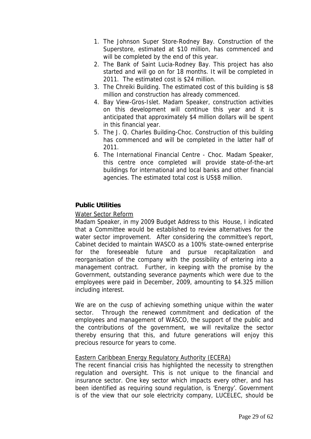- 1. The Johnson Super Store-Rodney Bay. Construction of the Superstore, estimated at \$10 million, has commenced and will be completed by the end of this year.
- 2. The Bank of Saint Lucia-Rodney Bay. This project has also started and will go on for 18 months. It will be completed in 2011. The estimated cost is \$24 million.
- 3. The Chreiki Building. The estimated cost of this building is \$8 million and construction has already commenced.
- 4. Bay View-Gros-Islet. Madam Speaker, construction activities on this development will continue this year and it is anticipated that approximately \$4 million dollars will be spent in this financial year.
- 5. The J. Q. Charles Building-Choc. Construction of this building has commenced and will be completed in the latter half of 2011.
- 6. The International Financial Centre Choc. Madam Speaker, this centre once completed will provide state-of-the-art buildings for international and local banks and other financial agencies. The estimated total cost is US\$8 million.

## **Public Utilities**

## Water Sector Reform

Madam Speaker, in my 2009 Budget Address to this House, I indicated that a Committee would be established to review alternatives for the water sector improvement. After considering the committee's report, Cabinet decided to maintain WASCO as a 100% state-owned enterprise for the foreseeable future and pursue recapitalization and reorganisation of the company with the possibility of entering into a management contract. Further, in keeping with the promise by the Government, outstanding severance payments which were due to the employees were paid in December, 2009, amounting to \$4.325 million including interest.

We are on the cusp of achieving something unique within the water sector. Through the renewed commitment and dedication of the employees and management of WASCO, the support of the public and the contributions of the government, we will revitalize the sector thereby ensuring that this, and future generations will enjoy this precious resource for years to come.

## Eastern Caribbean Energy Regulatory Authority (ECERA)

The recent financial crisis has highlighted the necessity to strengthen regulation and oversight. This is not unique to the financial and insurance sector. One key sector which impacts every other, and has been identified as requiring sound regulation, is 'Energy'. Government is of the view that our sole electricity company, LUCELEC, should be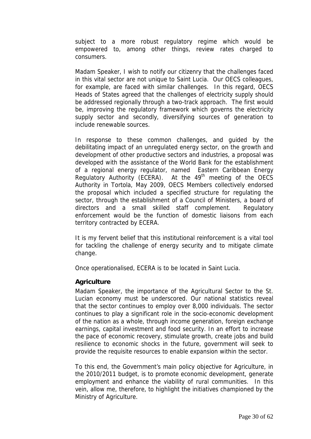subject to a more robust regulatory regime which would be empowered to, among other things, review rates charged to consumers.

Madam Speaker, I wish to notify our citizenry that the challenges faced in this vital sector are not unique to Saint Lucia. Our OECS colleagues, for example, are faced with similar challenges. In this regard, OECS Heads of States agreed that the challenges of electricity supply should be addressed regionally through a two-track approach. The first would be, improving the regulatory framework which governs the electricity supply sector and secondly, diversifying sources of generation to include renewable sources.

In response to these common challenges, and guided by the debilitating impact of an unregulated energy sector, on the growth and development of other productive sectors and industries, a proposal was developed with the assistance of the World Bank for the establishment of a regional energy regulator, named Eastern Caribbean Energy Regulatory Authority (ECERA). At the  $49<sup>th</sup>$  meeting of the OECS Authority in Tortola, May 2009, OECS Members collectively endorsed the proposal which included a specified structure for regulating the sector, through the establishment of a Council of Ministers, a board of directors and a small skilled staff complement. Regulatory enforcement would be the function of domestic liaisons from each territory contracted by ECERA.

It is my fervent belief that this institutional reinforcement is a vital tool for tackling the challenge of energy security and to mitigate climate change.

Once operationalised, ECERA is to be located in Saint Lucia.

## **Agriculture**

Madam Speaker, the importance of the Agricultural Sector to the St. Lucian economy must be underscored. Our national statistics reveal that the sector continues to employ over 8,000 individuals. The sector continues to play a significant role in the socio-economic development of the nation as a whole, through income generation, foreign exchange earnings, capital investment and food security. In an effort to increase the pace of economic recovery, stimulate growth, create jobs and build resilience to economic shocks in the future, government will seek to provide the requisite resources to enable expansion within the sector.

To this end, the Government's main policy objective for Agriculture, in the 2010/2011 budget, is to promote economic development, generate employment and enhance the viability of rural communities. In this vein, allow me, therefore, to highlight the initiatives championed by the Ministry of Agriculture.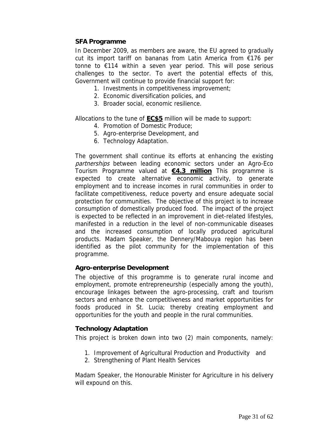## **SFA Programme**

In December 2009, as members are aware, the EU agreed to gradually cut its import tariff on bananas from Latin America from €176 per tonne to €114 within a seven year period. This will pose serious challenges to the sector. To avert the potential effects of this, Government will continue to provide financial support for:

- 1. Investments in competitiveness improvement;
- 2. Economic diversification policies, and
- 3. Broader social, economic resilience.

Allocations to the tune of **EC\$5** million will be made to support:

- 4. Promotion of Domestic Produce;
- 5. Agro-enterprise Development, and
- 6. Technology Adaptation.

The government shall continue its efforts at enhancing the existing partnerships between leading economic sectors under an Agro-Eco Tourism Programme valued at **€4.3 million** This programme is expected to create alternative economic activity, to generate employment and to increase incomes in rural communities in order to facilitate competitiveness, reduce poverty and ensure adequate social protection for communities. The objective of this project is to increase consumption of domestically produced food. The impact of the project is expected to be reflected in an improvement in diet-related lifestyles, manifested in a reduction in the level of non-communicable diseases and the increased consumption of locally produced agricultural products. Madam Speaker, the Dennery/Mabouya region has been identified as the pilot community for the implementation of this programme.

## **Agro-enterprise Development**

The objective of this programme is to generate rural income and employment, promote entrepreneurship (especially among the youth), encourage linkages between the agro-processing, craft and tourism sectors and enhance the competitiveness and market opportunities for foods produced in St. Lucia; thereby creating employment and opportunities for the youth and people in the rural communities.

## **Technology Adaptation**

This project is broken down into two (2) main components, namely:

- 1. Improvement of Agricultural Production and Productivity and
- 2. Strengthening of Plant Health Services

Madam Speaker, the Honourable Minister for Agriculture in his delivery will expound on this.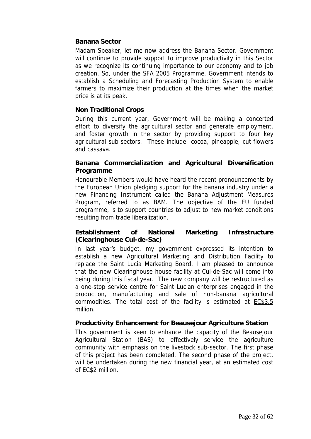## **Banana Sector**

Madam Speaker, let me now address the Banana Sector. Government will continue to provide support to improve productivity in this Sector as we recognize its continuing importance to our economy and to job creation. So, under the SFA 2005 Programme, Government intends to establish a Scheduling and Forecasting Production System to enable farmers to maximize their production at the times when the market price is at its peak.

## **Non Traditional Crops**

During this current year, Government will be making a concerted effort to diversify the agricultural sector and generate employment, and foster growth in the sector by providing support to four key agricultural sub-sectors. These include: cocoa, pineapple, cut-flowers and cassava.

## **Banana Commercialization and Agricultural Diversification Programme**

Honourable Members would have heard the recent pronouncements by the European Union pledging support for the banana industry under a new Financing Instrument called the Banana Adjustment Measures Program, referred to as BAM. The objective of the EU funded programme, is to support countries to adjust to new market conditions resulting from trade liberalization.

## **Establishment of National Marketing Infrastructure (Clearinghouse Cul-de-Sac)**

In last year's budget, my government expressed its intention to establish a new Agricultural Marketing and Distribution Facility to replace the Saint Lucia Marketing Board. I am pleased to announce that the new Clearinghouse house facility at Cul-de-Sac will come into being during this fiscal year. The new company will be restructured as a one-stop service centre for Saint Lucian enterprises engaged in the production, manufacturing and sale of non-banana agricultural commodities. The total cost of the facility is estimated at EC\$3.5 million.

## **Productivity Enhancement for Beausejour Agriculture Station**

This government is keen to enhance the capacity of the Beausejour Agricultural Station (BAS) to effectively service the agriculture community with emphasis on the livestock sub-sector. The first phase of this project has been completed. The second phase of the project, will be undertaken during the new financial year, at an estimated cost of EC\$2 million.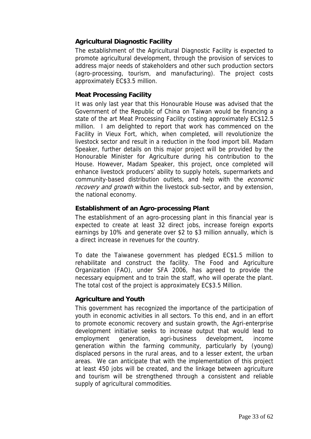## **Agricultural Diagnostic Facility**

The establishment of the Agricultural Diagnostic Facility is expected to promote agricultural development, through the provision of services to address major needs of stakeholders and other such production sectors (agro-processing, tourism, and manufacturing). The project costs approximately EC\$3.5 million.

## **Meat Processing Facility**

It was only last year that this Honourable House was advised that the Government of the Republic of China on Taiwan would be financing a state of the art Meat Processing Facility costing approximately EC\$12.5 million. I am delighted to report that work has commenced on the Facility in Vieux Fort, which, when completed, will revolutionize the livestock sector and result in a reduction in the food import bill. Madam Speaker, further details on this major project will be provided by the Honourable Minister for Agriculture during his contribution to the House. However, Madam Speaker, this project, once completed will enhance livestock producers' ability to supply hotels, supermarkets and community-based distribution outlets, and help with the *economic* recovery and growth within the livestock sub-sector, and by extension, the national economy.

## **Establishment of an Agro-processing Plant**

The establishment of an agro-processing plant in this financial year is expected to create at least 32 direct jobs, increase foreign exports earnings by 10% and generate over \$2 to \$3 million annually, which is a direct increase in revenues for the country.

To date the Taiwanese government has pledged EC\$1.5 million to rehabilitate and construct the facility. The Food and Agriculture Organization (FAO), under SFA 2006, has agreed to provide the necessary equipment and to train the staff, who will operate the plant. The total cost of the project is approximately EC\$3.5 Million.

## **Agriculture and Youth**

This government has recognized the importance of the participation of youth in economic activities in all sectors. To this end, and in an effort to promote economic recovery and sustain growth, the Agri-enterprise development initiative seeks to increase output that would lead to employment generation, agri-business development, income generation within the farming community, particularly by (young) displaced persons in the rural areas, and to a lesser extent, the urban areas. We can anticipate that with the implementation of this project at least 450 jobs will be created, and the linkage between agriculture and tourism will be strengthened through a consistent and reliable supply of agricultural commodities.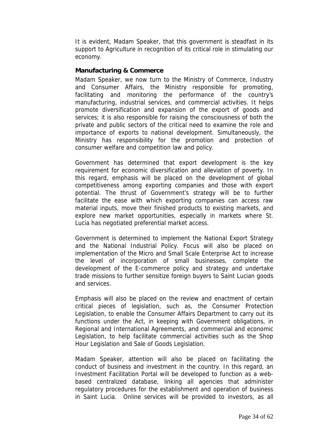It is evident, Madam Speaker, that this government is steadfast in its support to Agriculture in recognition of its critical role in stimulating our economy.

## **Manufacturing & Commerce**

Madam Speaker, we now turn to the Ministry of Commerce, Industry and Consumer Affairs, the Ministry responsible for promoting, facilitating and monitoring the performance of the country's manufacturing, industrial services, and commercial activities. It helps promote diversification and expansion of the export of goods and services; it is also responsible for raising the consciousness of both the private and public sectors of the critical need to examine the role and importance of exports to national development. Simultaneously, the Ministry has responsibility for the promotion and protection of consumer welfare and competition law and policy.

Government has determined that export development is the key requirement for economic diversification and alleviation of poverty. In this regard, emphasis will be placed on the development of global competitiveness among exporting companies and those with export potential. The thrust of Government's strategy will be to further facilitate the ease with which exporting companies can access raw material inputs, move their finished products to existing markets, and explore new market opportunities, especially in markets where St. Lucia has negotiated preferential market access.

Government is determined to implement the National Export Strategy and the National Industrial Policy. Focus will also be placed on implementation of the Micro and Small Scale Enterprise Act to increase the level of incorporation of small businesses, complete the development of the E-commerce policy and strategy and undertake trade missions to further sensitize foreign buyers to Saint Lucian goods and services.

Emphasis will also be placed on the review and enactment of certain critical pieces of legislation, such as, the Consumer Protection Legislation, to enable the Consumer Affairs Department to carry out its functions under the Act, in keeping with Government obligations, in Regional and International Agreements, and commercial and economic Legislation, to help facilitate commercial activities such as the Shop Hour Legislation and Sale of Goods Legislation.

Madam Speaker, attention will also be placed on facilitating the conduct of business and investment in the country. In this regard, an Investment Facilitation Portal will be developed to function as a webbased centralized database, linking all agencies that administer regulatory procedures for the establishment and operation of business in Saint Lucia. Online services will be provided to investors, as all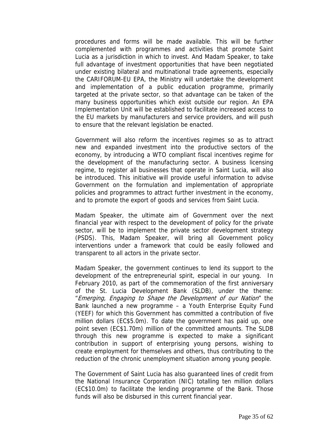procedures and forms will be made available. This will be further complemented with programmes and activities that promote Saint Lucia as a jurisdiction in which to invest. And Madam Speaker, to take full advantage of investment opportunities that have been negotiated under existing bilateral and multinational trade agreements, especially the CARIFORUM-EU EPA, the Ministry will undertake the development and implementation of a public education programme, primarily targeted at the private sector, so that advantage can be taken of the many business opportunities which exist outside our region. An EPA Implementation Unit will be established to facilitate increased access to the EU markets by manufacturers and service providers, and will push to ensure that the relevant legislation be enacted.

Government will also reform the incentives regimes so as to attract new and expanded investment into the productive sectors of the economy, by introducing a WTO compliant fiscal incentives regime for the development of the manufacturing sector. A business licensing regime, to register all businesses that operate in Saint Lucia, will also be introduced. This initiative will provide useful information to advise Government on the formulation and implementation of appropriate policies and programmes to attract further investment in the economy, and to promote the export of goods and services from Saint Lucia.

Madam Speaker, the ultimate aim of Government over the next financial year with respect to the development of policy for the private sector, will be to implement the private sector development strategy (PSDS). This, Madam Speaker, will bring all Government policy interventions under a framework that could be easily followed and transparent to all actors in the private sector.

Madam Speaker, the government continues to lend its support to the development of the entrepreneurial spirit, especial in our young. In February 2010, as part of the commemoration of the first anniversary of the St. Lucia Development Bank (SLDB), under the theme: "Emerging, Engaging to Shape the Development of our Nation" the Bank launched a new programme – a Youth Enterprise Equity Fund (YEEF) for which this Government has committed a contribution of five million dollars (EC\$5.0m). To date the government has paid up, one point seven (EC\$1.70m) million of the committed amounts. The SLDB through this new programme is expected to make a significant contribution in support of enterprising young persons, wishing to create employment for themselves and others, thus contributing to the reduction of the chronic unemployment situation among young people.

The Government of Saint Lucia has also guaranteed lines of credit from the National Insurance Corporation (NIC) totalling ten million dollars (EC\$10.0m) to facilitate the lending programme of the Bank. Those funds will also be disbursed in this current financial year.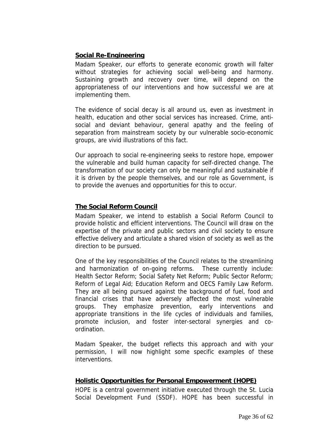## **Social Re-Engineering**

Madam Speaker, our efforts to generate economic growth will falter without strategies for achieving social well-being and harmony. Sustaining growth and recovery over time, will depend on the appropriateness of our interventions and how successful we are at implementing them.

The evidence of social decay is all around us, even as investment in health, education and other social services has increased. Crime, antisocial and deviant behaviour, general apathy and the feeling of separation from mainstream society by our vulnerable socio-economic groups, are vivid illustrations of this fact.

Our approach to social re-engineering seeks to restore hope, empower the vulnerable and build human capacity for self-directed change. The transformation of our society can only be meaningful and sustainable if it is driven by the people themselves, and our role as Government, is to provide the avenues and opportunities for this to occur.

## **The Social Reform Council**

Madam Speaker, we intend to establish a Social Reform Council to provide holistic and efficient interventions. The Council will draw on the expertise of the private and public sectors and civil society to ensure effective delivery and articulate a shared vision of society as well as the direction to be pursued.

One of the key responsibilities of the Council relates to the streamlining and harmonization of on-going reforms. These currently include: Health Sector Reform; Social Safety Net Reform; Public Sector Reform; Reform of Legal Aid; Education Reform and OECS Family Law Reform. They are all being pursued against the background of fuel, food and financial crises that have adversely affected the most vulnerable groups. They emphasize prevention, early interventions and appropriate transitions in the life cycles of individuals and families, promote inclusion, and foster inter-sectoral synergies and coordination.

Madam Speaker, the budget reflects this approach and with your permission, I will now highlight some specific examples of these interventions.

## **Holistic Opportunities for Personal Empowerment (HOPE)**

HOPE is a central government initiative executed through the St. Lucia Social Development Fund (SSDF). HOPE has been successful in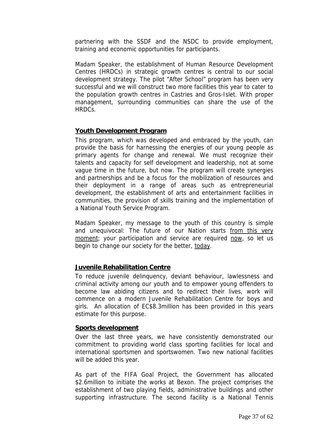partnering with the SSDF and the NSDC to provide employment, training and economic opportunities for participants.

Madam Speaker, the establishment of Human Resource Development Centres (HRDCs) in strategic growth centres is central to our social development strategy. The pilot "After School" program has been very successful and we will construct two more facilities this year to cater to the population growth centres in Castries and Gros-Islet. With proper management, surrounding communities can share the use of the HRDCs.

## **Youth Development Program**

This program, which was developed and embraced by the youth, can provide the basis for harnessing the energies of our young people as primary agents for change and renewal. We must recognize their talents and capacity for self development and leadership, not at some vague time in the future, but now. The program will create synergies and partnerships and be a focus for the mobilization of resources and their deployment in a range of areas such as entrepreneurial development, the establishment of arts and entertainment facilities in communities, the provision of skills training and the implementation of a National Youth Service Program.

Madam Speaker, my message to the youth of this country is simple and unequivocal: The future of our Nation starts from this very moment; your participation and service are required now, so let us begin to change our society for the better, today.

## **Juvenile Rehabilitation Centre**

To reduce juvenile delinquency, deviant behaviour, lawlessness and criminal activity among our youth and to empower young offenders to become law abiding citizens and to redirect their lives, work will commence on a modern Juvenile Rehabilitation Centre for boys and girls. An allocation of EC\$8.3million has been provided in this years estimate for this purpose.

## **Sports development**

Over the last three years, we have consistently demonstrated our commitment to providing world class sporting facilities for local and international sportsmen and sportswomen. Two new national facilities will be added this year.

As part of the FIFA Goal Project, the Government has allocated \$2.6million to initiate the works at Bexon. The project comprises the establishment of two playing fields, administrative buildings and other supporting infrastructure. The second facility is a National Tennis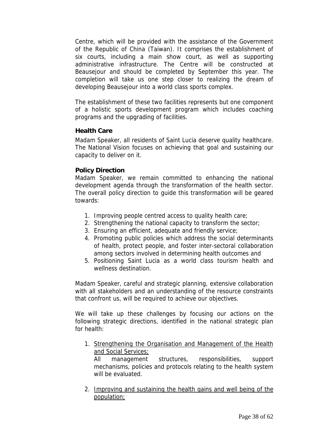Centre, which will be provided with the assistance of the Government of the Republic of China (Taiwan). It comprises the establishment of six courts, including a main show court, as well as supporting administrative infrastructure. The Centre will be constructed at Beausejour and should be completed by September this year. The completion will take us one step closer to realizing the dream of developing Beausejour into a world class sports complex.

The establishment of these two facilities represents but one component of a holistic sports development program which includes coaching programs and the upgrading of facilities.

## **Health Care**

Madam Speaker, all residents of Saint Lucia deserve quality healthcare. The National Vision focuses on achieving that goal and sustaining our capacity to deliver on it.

#### **Policy Direction**

Madam Speaker, we remain committed to enhancing the national development agenda through the transformation of the health sector. The overall policy direction to guide this transformation will be geared towards:

- 1. Improving people centred access to quality health care;
- 2. Strengthening the national capacity to transform the sector;
- 3. Ensuring an efficient, adequate and friendly service;
- 4. Promoting public policies which address the social determinants of health, protect people, and foster inter-sectoral collaboration among sectors involved in determining health outcomes and
- 5. Positioning Saint Lucia as a world class tourism health and wellness destination

Madam Speaker, careful and strategic planning, extensive collaboration with all stakeholders and an understanding of the resource constraints that confront us, will be required to achieve our objectives.

We will take up these challenges by focusing our actions on the following strategic directions, identified in the national strategic plan for health:

1. Strengthening the Organisation and Management of the Health and Social Services;

All management structures, responsibilities, support mechanisms, policies and protocols relating to the health system will be evaluated.

2. Improving and sustaining the health gains and well being of the population;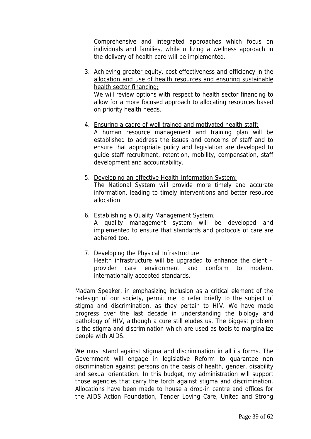Comprehensive and integrated approaches which focus on individuals and families, while utilizing a wellness approach in the delivery of health care will be implemented.

3. Achieving greater equity, cost effectiveness and efficiency in the allocation and use of health resources and ensuring sustainable health sector financing; We will review options with respect to health sector financing to

allow for a more focused approach to allocating resources based on priority health needs.

4. Ensuring a cadre of well trained and motivated health staff;

A human resource management and training plan will be established to address the issues and concerns of staff and to ensure that appropriate policy and legislation are developed to guide staff recruitment, retention, mobility, compensation, staff development and accountability.

- 5. Developing an effective Health Information System; The National System will provide more timely and accurate information, leading to timely interventions and better resource allocation.
- 6. Establishing a Quality Management System;

A quality management system will be developed and implemented to ensure that standards and protocols of care are adhered too.

7. Developing the Physical Infrastructure

Health infrastructure will be upgraded to enhance the client – provider care environment and conform to modern, internationally accepted standards.

Madam Speaker, in emphasizing inclusion as a critical element of the redesign of our society, permit me to refer briefly to the subject of stigma and discrimination, as they pertain to HIV. We have made progress over the last decade in understanding the biology and pathology of HIV, although a cure still eludes us. The biggest problem is the stigma and discrimination which are used as tools to marginalize people with AIDS.

We must stand against stigma and discrimination in all its forms. The Government will engage in legislative Reform to guarantee non discrimination against persons on the basis of health, gender, disability and sexual orientation. In this budget, my administration will support those agencies that carry the torch against stigma and discrimination. Allocations have been made to house a drop-in centre and offices for the AIDS Action Foundation, Tender Loving Care, United and Strong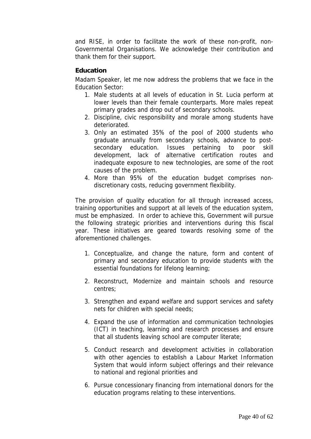and RISE, in order to facilitate the work of these non-profit, non-Governmental Organisations. We acknowledge their contribution and thank them for their support.

## **Education**

Madam Speaker, let me now address the problems that we face in the Education Sector:

- 1. Male students at all levels of education in St. Lucia perform at lower levels than their female counterparts. More males repeat primary grades and drop out of secondary schools.
- 2. Discipline, civic responsibility and morale among students have deteriorated.
- 3. Only an estimated 35% of the pool of 2000 students who graduate annually from secondary schools, advance to postsecondary education. Issues pertaining to poor skill development, lack of alternative certification routes and inadequate exposure to new technologies, are some of the root causes of the problem.
- 4. More than 95% of the education budget comprises nondiscretionary costs, reducing government flexibility.

The provision of quality education for all through increased access, training opportunities and support at all levels of the education system, must be emphasized. In order to achieve this, Government will pursue the following strategic priorities and interventions during this fiscal year. These initiatives are geared towards resolving some of the aforementioned challenges.

- 1. Conceptualize, and change the nature, form and content of primary and secondary education to provide students with the essential foundations for lifelong learning;
- 2. Reconstruct, Modernize and maintain schools and resource centres;
- 3. Strengthen and expand welfare and support services and safety nets for children with special needs;
- 4. Expand the use of information and communication technologies (ICT) in teaching, learning and research processes and ensure that all students leaving school are computer literate;
- 5. Conduct research and development activities in collaboration with other agencies to establish a Labour Market Information System that would inform subject offerings and their relevance to national and regional priorities and
- 6. Pursue concessionary financing from international donors for the education programs relating to these interventions.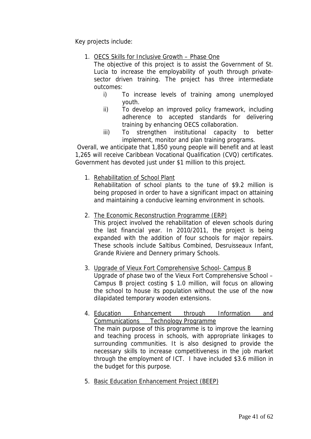Key projects include:

1. OECS Skills for Inclusive Growth – Phase One

The objective of this project is to assist the Government of St. Lucia to increase the employability of youth through privatesector driven training. The project has three intermediate outcomes:

- i) To increase levels of training among unemployed youth.
- ii) To develop an improved policy framework, including adherence to accepted standards for delivering training by enhancing OECS collaboration.
- iii) To strengthen institutional capacity to better implement, monitor and plan training programs.

 Overall, we anticipate that 1,850 young people will benefit and at least 1,265 will receive Caribbean Vocational Qualification (CVQ) certificates. Government has devoted just under \$1 million to this project.

1. Rehabilitation of School Plant

Rehabilitation of school plants to the tune of \$9.2 million is being proposed in order to have a significant impact on attaining and maintaining a conducive learning environment in schools.

2. The Economic Reconstruction Programme (ERP)

This project involved the rehabilitation of eleven schools during the last financial year. In 2010/2011, the project is being expanded with the addition of four schools for major repairs. These schools include Saltibus Combined, Desruisseaux Infant, Grande Riviere and Dennery primary Schools.

## 3. Upgrade of Vieux Fort Comprehensive School- Campus B

Upgrade of phase two of the Vieux Fort Comprehensive School – Campus B project costing \$ 1.0 million, will focus on allowing the school to house its population without the use of the now dilapidated temporary wooden extensions.

4. Education Enhancement through Information and Communications Technology Programme The main purpose of this programme is to improve the learning and teaching process in schools, with appropriate linkages to surrounding communities. It is also designed to provide the necessary skills to increase competitiveness in the job market through the employment of ICT. I have included \$3.6 million in the budget for this purpose.

5. Basic Education Enhancement Project (BEEP)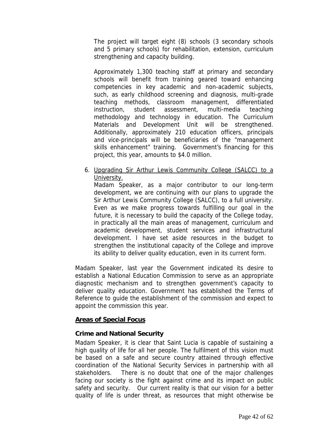The project will target eight (8) schools (3 secondary schools and 5 primary schools) for rehabilitation, extension, curriculum strengthening and capacity building.

Approximately 1,300 teaching staff at primary and secondary schools will benefit from training geared toward enhancing competencies in key academic and non-academic subjects, such, as early childhood screening and diagnosis, multi-grade teaching methods, classroom management, differentiated instruction, student assessment, multi-media teaching methodology and technology in education. The Curriculum Materials and Development Unit will be strengthened. Additionally, approximately 210 education officers, principals and vice-principals will be beneficiaries of the "management skills enhancement" training. Government's financing for this project, this year, amounts to \$4.0 million.

6. Upgrading Sir Arthur Lewis Community College (SALCC) to a University.

Madam Speaker, as a major contributor to our long-term development, we are continuing with our plans to upgrade the Sir Arthur Lewis Community College (SALCC), to a full university. Even as we make progress towards fulfilling our goal in the future, it is necessary to build the capacity of the College today, in practically all the main areas of management, curriculum and academic development, student services and infrastructural development. I have set aside resources in the budget to strengthen the institutional capacity of the College and improve its ability to deliver quality education, even in its current form.

Madam Speaker, last year the Government indicated its desire to establish a National Education Commission to serve as an appropriate diagnostic mechanism and to strengthen government's capacity to deliver quality education. Government has established the Terms of Reference to guide the establishment of the commission and expect to appoint the commission this year.

## **Areas of Special Focus**

## **Crime and National Security**

Madam Speaker, it is clear that Saint Lucia is capable of sustaining a high quality of life for all her people. The fulfilment of this vision must be based on a safe and secure country attained through effective coordination of the National Security Services in partnership with all stakeholders. There is no doubt that one of the major challenges facing our society is the fight against crime and its impact on public safety and security. Our current reality is that our vision for a better quality of life is under threat, as resources that might otherwise be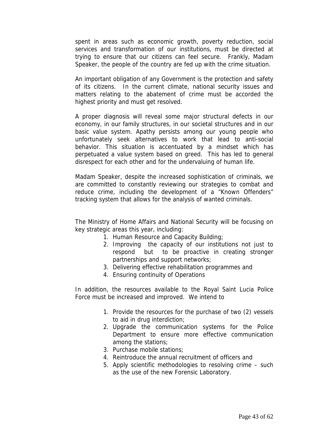spent in areas such as economic growth, poverty reduction, social services and transformation of our institutions, must be directed at trying to ensure that our citizens can feel secure. Frankly, Madam Speaker, the people of the country are fed up with the crime situation.

An important obligation of any Government is the protection and safety of its citizens. In the current climate, national security issues and matters relating to the abatement of crime must be accorded the highest priority and must get resolved.

A proper diagnosis will reveal some major structural defects in our economy, in our family structures, in our societal structures and in our basic value system. Apathy persists among our young people who unfortunately seek alternatives to work that lead to anti-social behavior. This situation is accentuated by a mindset which has perpetuated a value system based on greed. This has led to general disrespect for each other and for the undervaluing of human life.

Madam Speaker, despite the increased sophistication of criminals, we are committed to constantly reviewing our strategies to combat and reduce crime, including the development of a "Known Offenders" tracking system that allows for the analysis of wanted criminals.

The Ministry of Home Affairs and National Security will be focusing on key strategic areas this year, including:

- 1. Human Resource and Capacity Building;
- 2. Improving the capacity of our institutions not just to respond but to be proactive in creating stronger partnerships and support networks;
- 3. Delivering effective rehabilitation programmes and
- 4. Ensuring continuity of Operations

In addition, the resources available to the Royal Saint Lucia Police Force must be increased and improved. We intend to

- 1. Provide the resources for the purchase of two (2) vessels to aid in drug interdiction;
- 2. Upgrade the communication systems for the Police Department to ensure more effective communication among the stations;
- 3. Purchase mobile stations;
- 4. Reintroduce the annual recruitment of officers and
- 5. Apply scientific methodologies to resolving crime such as the use of the new Forensic Laboratory.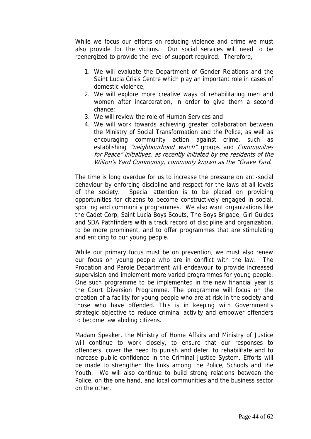While we focus our efforts on reducing violence and crime we must also provide for the victims. Our social services will need to be reenergized to provide the level of support required. Therefore,

- 1. We will evaluate the Department of Gender Relations and the Saint Lucia Crisis Centre which play an important role in cases of domestic violence;
- 2. We will explore more creative ways of rehabilitating men and women after incarceration, in order to give them a second chance;
- 3. We will review the role of Human Services and
- 4. We will work towards achieving greater collaboration between the Ministry of Social Transformation and the Police, as well as encouraging community action against crime, such as establishing "neighbourhood watch" groups and Communities for Peace" initiatives, as recently initiated by the residents of the Wilton's Yard Community, commonly known as the "Grave Yard.

The time is long overdue for us to increase the pressure on anti-social behaviour by enforcing discipline and respect for the laws at all levels of the society. Special attention is to be placed on providing opportunities for citizens to become constructively engaged in social, sporting and community programmes. We also want organizations like the Cadet Corp, Saint Lucia Boys Scouts, The Boys Brigade, Girl Guides and SDA Pathfinders with a track record of discipline and organization, to be more prominent, and to offer programmes that are stimulating and enticing to our young people.

While our primary focus must be on prevention, we must also renew our focus on young people who are in conflict with the law. The Probation and Parole Department will endeavour to provide increased supervision and implement more varied programmes for young people. One such programme to be implemented in the new financial year is the Court Diversion Programme. The programme will focus on the creation of a facility for young people who are at risk in the society and those who have offended. This is in keeping with Government's strategic objective to reduce criminal activity and empower offenders to become law abiding citizens.

Madam Speaker, the Ministry of Home Affairs and Ministry of Justice will continue to work closely, to ensure that our responses to offenders, cover the need to punish and deter, to rehabilitate and to increase public confidence in the Criminal Justice System. Efforts will be made to strengthen the links among the Police, Schools and the Youth. We will also continue to build strong relations between the Police, on the one hand, and local communities and the business sector on the other.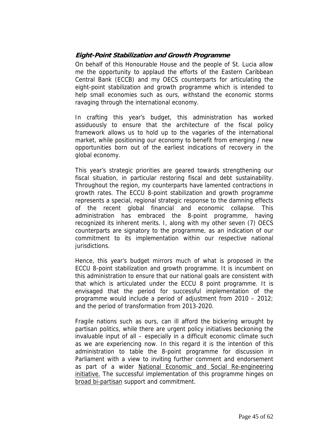## **Eight-Point Stabilization and Growth Programme**

On behalf of this Honourable House and the people of St. Lucia allow me the opportunity to applaud the efforts of the Eastern Caribbean Central Bank (ECCB) and my OECS counterparts for articulating the eight-point stabilization and growth programme which is intended to help small economies such as ours, withstand the economic storms ravaging through the international economy.

In crafting this year's budget, this administration has worked assiduously to ensure that the architecture of the fiscal policy framework allows us to hold up to the vagaries of the international market, while positioning our economy to benefit from emerging / new opportunities born out of the earliest indications of recovery in the global economy.

This year's strategic priorities are geared towards strengthening our fiscal situation, in particular restoring fiscal and debt sustainability. Throughout the region, my counterparts have lamented contractions in growth rates. The ECCU 8-point stabilization and growth programme represents a special, regional strategic response to the damning effects of the recent global financial and economic collapse. This administration has embraced the 8-point programme, having recognized its inherent merits. I, along with my other seven (7) OECS counterparts are signatory to the programme, as an indication of our commitment to its implementation within our respective national jurisdictions.

Hence, this year's budget mirrors much of what is proposed in the ECCU 8-point stabilization and growth programme. It is incumbent on this administration to ensure that our national goals are consistent with that which is articulated under the ECCU 8 point programme. It is envisaged that the period for successful implementation of the programme would include a period of adjustment from 2010 – 2012; and the period of transformation from 2013-2020.

Fragile nations such as ours, can ill afford the bickering wrought by partisan politics, while there are urgent policy initiatives beckoning the invaluable input of all – especially in a difficult economic climate such as we are experiencing now. In this regard it is the intention of this administration to table the 8-point programme for discussion in Parliament with a view to inviting further comment and endorsement as part of a wider National Economic and Social Re-engineering initiative. The successful implementation of this programme hinges on broad bi-partisan support and commitment.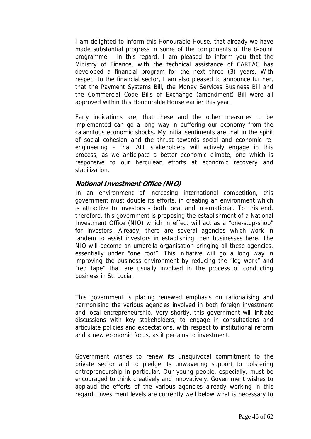I am delighted to inform this Honourable House, that already we have made substantial progress in some of the components of the 8-point programme. In this regard, I am pleased to inform you that the Ministry of Finance, with the technical assistance of CARTAC has developed a financial program for the next three (3) years. With respect to the financial sector, I am also pleased to announce further, that the Payment Systems Bill, the Money Services Business Bill and the Commercial Code Bills of Exchange (amendment) Bill were all approved within this Honourable House earlier this year.

Early indications are, that these and the other measures to be implemented can go a long way in buffering our economy from the calamitous economic shocks. My initial sentiments are that in the spirit of social cohesion and the thrust towards social and economic reengineering – that ALL stakeholders will actively engage in this process, as we anticipate a better economic climate, one which is responsive to our herculean efforts at economic recovery and stabilization.

## **National Investment Office (NIO)**

In an environment of increasing international competition, this government must double its efforts, in creating an environment which is attractive to investors - both local and international. To this end, therefore, this government is proposing the establishment of a National Investment Office (NIO) which in effect will act as a "one-stop-shop" for investors. Already, there are several agencies which work in tandem to assist investors in establishing their businesses here. The NIO will become an umbrella organisation bringing all these agencies, essentially under "one roof". This initiative will go a long way in improving the business environment by reducing the "leg work" and "red tape" that are usually involved in the process of conducting business in St. Lucia.

This government is placing renewed emphasis on rationalising and harmonising the various agencies involved in both foreign investment and local entrepreneurship. Very shortly, this government will initiate discussions with key stakeholders, to engage in consultations and articulate policies and expectations, with respect to institutional reform and a new economic focus, as it pertains to investment.

Government wishes to renew its unequivocal commitment to the private sector and to pledge its unwavering support to bolstering entrepreneurship in particular. Our young people, especially, must be encouraged to think creatively and innovatively. Government wishes to applaud the efforts of the various agencies already working in this regard. Investment levels are currently well below what is necessary to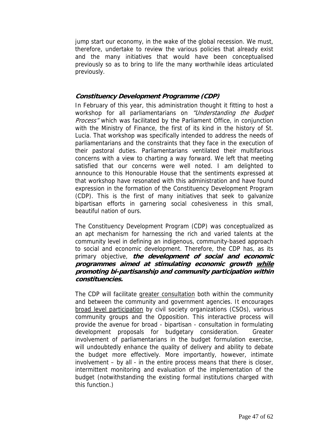jump start our economy, in the wake of the global recession. We must, therefore, undertake to review the various policies that already exist and the many initiatives that would have been conceptualised previously so as to bring to life the many worthwhile ideas articulated previously.

## **Constituency Development Programme (CDP)**

In February of this year, this administration thought it fitting to host a workshop for all parliamentarians on "Understanding the Budget Process" which was facilitated by the Parliament Office, in conjunction with the Ministry of Finance, the first of its kind in the history of St. Lucia. That workshop was specifically intended to address the needs of parliamentarians and the constraints that they face in the execution of their pastoral duties. Parliamentarians ventilated their multifarious concerns with a view to charting a way forward. We left that meeting satisfied that our concerns were well noted. I am delighted to announce to this Honourable House that the sentiments expressed at that workshop have resonated with this administration and have found expression in the formation of the Constituency Development Program (CDP). This is the first of many initiatives that seek to galvanize bipartisan efforts in garnering social cohesiveness in this small, beautiful nation of ours.

The Constituency Development Program (CDP) was conceptualized as an apt mechanism for harnessing the rich and varied talents at the community level in defining an indigenous, community-based approach to social and economic development. Therefore, the CDP has, as its primary objective, **the development of social and economic programmes aimed at stimulating economic growth while promoting bi-partisanship and community participation within constituencies.**

The CDP will facilitate greater consultation both within the community and between the community and government agencies. It encourages broad level participation by civil society organizations (CSOs), various community groups and the Opposition. This interactive process will provide the avenue for broad - bipartisan - consultation in formulating development proposals for budgetary consideration. Greater involvement of parliamentarians in the budget formulation exercise, will undoubtedly enhance the quality of delivery and ability to debate the budget more effectively. More importantly, however, intimate involvement – by all - in the entire process means that there is closer, intermittent monitoring and evaluation of the implementation of the budget (notwithstanding the existing formal institutions charged with this function.)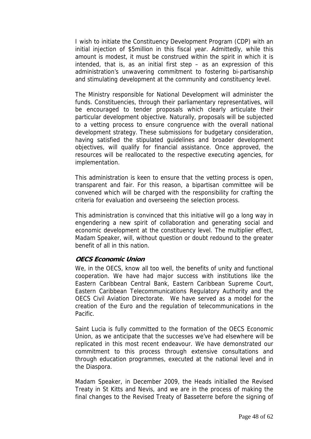I wish to initiate the Constituency Development Program (CDP) with an initial injection of \$5million in this fiscal year. Admittedly, while this amount is modest, it must be construed within the spirit in which it is intended, that is, as an initial first step – as an expression of this administration's unwavering commitment to fostering bi-partisanship and stimulating development at the community and constituency level.

The Ministry responsible for National Development will administer the funds. Constituencies, through their parliamentary representatives, will be encouraged to tender proposals which clearly articulate their particular development objective. Naturally, proposals will be subjected to a vetting process to ensure congruence with the overall national development strategy. These submissions for budgetary consideration, having satisfied the stipulated guidelines and broader development objectives, will qualify for financial assistance. Once approved, the resources will be reallocated to the respective executing agencies, for implementation.

This administration is keen to ensure that the vetting process is open, transparent and fair. For this reason, a bipartisan committee will be convened which will be charged with the responsibility for crafting the criteria for evaluation and overseeing the selection process.

This administration is convinced that this initiative will go a long way in engendering a new spirit of collaboration and generating social and economic development at the constituency level. The multiplier effect, Madam Speaker, will, without question or doubt redound to the greater benefit of all in this nation.

## **OECS Economic Union**

We, in the OECS, know all too well, the benefits of unity and functional cooperation. We have had major success with institutions like the Eastern Caribbean Central Bank, Eastern Caribbean Supreme Court, Eastern Caribbean Telecommunications Regulatory Authority and the OECS Civil Aviation Directorate. We have served as a model for the creation of the Euro and the regulation of telecommunications in the Pacific.

Saint Lucia is fully committed to the formation of the OECS Economic Union, as we anticipate that the successes we've had elsewhere will be replicated in this most recent endeavour. We have demonstrated our commitment to this process through extensive consultations and through education programmes, executed at the national level and in the Diaspora.

Madam Speaker, in December 2009, the Heads initialled the Revised Treaty in St Kitts and Nevis, and we are in the process of making the final changes to the Revised Treaty of Basseterre before the signing of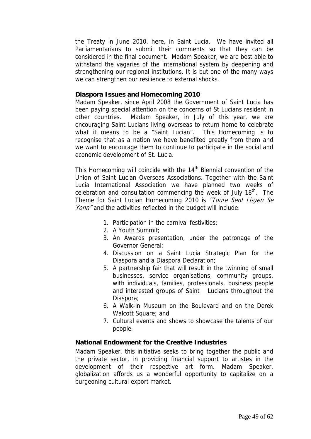the Treaty in June 2010, here, in Saint Lucia. We have invited all Parliamentarians to submit their comments so that they can be considered in the final document. Madam Speaker, we are best able to withstand the vagaries of the international system by deepening and strengthening our regional institutions. It is but one of the many ways we can strengthen our resilience to external shocks.

#### **Diaspora Issues and Homecoming 2010**

Madam Speaker, since April 2008 the Government of Saint Lucia has been paying special attention on the concerns of St Lucians resident in other countries. Madam Speaker, in July of this year, we are encouraging Saint Lucians living overseas to return home to celebrate what it means to be a "Saint Lucian". This Homecoming is to recognise that as a nation we have benefited greatly from them and we want to encourage them to continue to participate in the social and economic development of St. Lucia.

This Homecoming will coincide with the 14<sup>th</sup> Biennial convention of the Union of Saint Lucian Overseas Associations. Together with the Saint Lucia International Association we have planned two weeks of celebration and consultation commencing the week of July  $18<sup>th</sup>$ . The Theme for Saint Lucian Homecoming 2010 is "Toute Sent Lisyen Se Yonn" and the activities reflected in the budget will include:

- 1. Participation in the carnival festivities;
- 2. A Youth Summit;
- 3. An Awards presentation, under the patronage of the Governor General;
- 4. Discussion on a Saint Lucia Strategic Plan for the Diaspora and a Diaspora Declaration;
- 5. A partnership fair that will result in the twinning of small businesses, service organisations, community groups, with individuals, families, professionals, business people and interested groups of Saint Lucians throughout the Diaspora;
- 6. A Walk-in Museum on the Boulevard and on the Derek Walcott Square; and
- 7. Cultural events and shows to showcase the talents of our people.

#### **National Endowment for the Creative Industries**

Madam Speaker, this initiative seeks to bring together the public and the private sector, in providing financial support to artistes in the development of their respective art form. Madam Speaker, globalization affords us a wonderful opportunity to capitalize on a burgeoning cultural export market.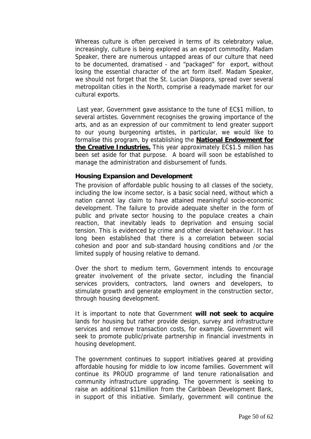Whereas culture is often perceived in terms of its celebratory value, increasingly, culture is being explored as an export commodity. Madam Speaker, there are numerous untapped areas of our culture that need to be documented, dramatised - and "packaged" for export, without losing the essential character of the art form itself. Madam Speaker, we should not forget that the St. Lucian Diaspora, spread over several metropolitan cities in the North, comprise a readymade market for our cultural exports.

 Last year, Government gave assistance to the tune of EC\$1 million, to several artistes. Government recognises the growing importance of the arts, and as an expression of our commitment to lend greater support to our young burgeoning artistes, in particular, we would like to formalise this program, by establishing the **National Endowment for the Creative Industries.** This year approximately EC\$1.5 million has been set aside for that purpose. A board will soon be established to manage the administration and disbursement of funds.

#### **Housing Expansion and Development**

The provision of affordable public housing to all classes of the society, including the low income sector, is a basic social need, without which a nation cannot lay claim to have attained meaningful socio-economic development. The failure to provide adequate shelter in the form of public and private sector housing to the populace creates a chain reaction, that inevitably leads to deprivation and ensuing social tension. This is evidenced by crime and other deviant behaviour. It has long been established that there is a correlation between social cohesion and poor and sub-standard housing conditions and /or the limited supply of housing relative to demand.

Over the short to medium term, Government intends to encourage greater involvement of the private sector, including the financial services providers, contractors, land owners and developers, to stimulate growth and generate employment in the construction sector, through housing development.

It is important to note that Government **will not seek to acquire** lands for housing but rather provide design, survey and infrastructure services and remove transaction costs, for example. Government will seek to promote public/private partnership in financial investments in housing development.

The government continues to support initiatives geared at providing affordable housing for middle to low income families. Government will continue its PROUD programme of land tenure rationalisation and community infrastructure upgrading. The government is seeking to raise an additional \$11million from the Caribbean Development Bank, in support of this initiative. Similarly, government will continue the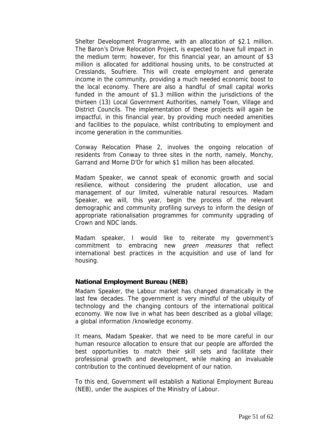Shelter Development Programme, with an allocation of \$2.1 million. The Baron's Drive Relocation Project, is expected to have full impact in the medium term; however, for this financial year, an amount of \$3 million is allocated for additional housing units, to be constructed at Cresslands, Soufriere. This will create employment and generate income in the community, providing a much needed economic boost to the local economy. There are also a handful of small capital works funded in the amount of \$1.3 million within the jurisdictions of the thirteen (13) Local Government Authorities, namely Town, Village and District Councils. The implementation of these projects will again be impactful, in this financial year, by providing much needed amenities and facilities to the populace, whilst contributing to employment and income generation in the communities.

Conway Relocation Phase 2, involves the ongoing relocation of residents from Conway to three sites in the north, namely, Monchy, Garrand and Morne D'Or for which \$1 million has been allocated.

Madam Speaker, we cannot speak of economic growth and social resilience, without considering the prudent allocation, use and management of our limited, vulnerable natural resources. Madam Speaker, we will, this year, begin the process of the relevant demographic and community profiling surveys to inform the design of appropriate rationalisation programmes for community upgrading of Crown and NDC lands.

Madam speaker, I would like to reiterate my government's commitment to embracing new *green measures* that reflect international best practices in the acquisition and use of land for housing.

## **National Employment Bureau (NEB)**

Madam Speaker, the Labour market has changed dramatically in the last few decades. The government is very mindful of the ubiquity of technology and the changing contours of the international political economy. We now live in what has been described as a global village; a global information /knowledge economy.

It means, Madam Speaker, that we need to be more careful in our human resource allocation to ensure that our people are afforded the best opportunities to match their skill sets and facilitate their professional growth and development, while making an invaluable contribution to the continued development of our nation.

To this end, Government will establish a National Employment Bureau (NEB), under the auspices of the Ministry of Labour.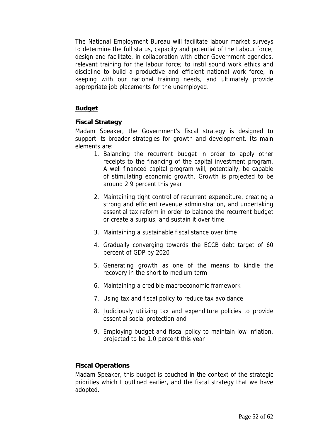The National Employment Bureau will facilitate labour market surveys to determine the full status, capacity and potential of the Labour force; design and facilitate, in collaboration with other Government agencies, relevant training for the labour force; to instil sound work ethics and discipline to build a productive and efficient national work force, in keeping with our national training needs, and ultimately provide appropriate job placements for the unemployed.

## **Budget**

## **Fiscal Strategy**

Madam Speaker, the Government's fiscal strategy is designed to support its broader strategies for growth and development. Its main elements are:

- 1. Balancing the recurrent budget in order to apply other receipts to the financing of the capital investment program. A well financed capital program will, potentially, be capable of stimulating economic growth. Growth is projected to be around 2.9 percent this year
- 2. Maintaining tight control of recurrent expenditure, creating a strong and efficient revenue administration, and undertaking essential tax reform in order to balance the recurrent budget or create a surplus, and sustain it over time
- 3. Maintaining a sustainable fiscal stance over time
- 4. Gradually converging towards the ECCB debt target of 60 percent of GDP by 2020
- 5. Generating growth as one of the means to kindle the recovery in the short to medium term
- 6. Maintaining a credible macroeconomic framework
- 7. Using tax and fiscal policy to reduce tax avoidance
- 8. Judiciously utilizing tax and expenditure policies to provide essential social protection and
- 9. Employing budget and fiscal policy to maintain low inflation, projected to be 1.0 percent this year

## **Fiscal Operations**

Madam Speaker, this budget is couched in the context of the strategic priorities which I outlined earlier, and the fiscal strategy that we have adopted.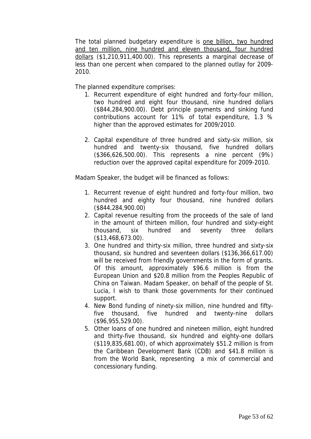The total planned budgetary expenditure is one billion, two hundred and ten million, nine hundred and eleven thousand, four hundred dollars (\$1,210,911,400.00). This represents a marginal decrease of less than one percent when compared to the planned outlay for 2009- 2010.

The planned expenditure comprises:

- 1. Recurrent expenditure of eight hundred and forty-four million, two hundred and eight four thousand, nine hundred dollars (\$844,284,900.00). Debt principle payments and sinking fund contributions account for 11% of total expenditure, 1.3 % higher than the approved estimates for 2009/2010.
- 2. Capital expenditure of three hundred and sixty-six million, six hundred and twenty-six thousand, five hundred dollars (\$366,626,500.00). This represents a nine percent (9%) reduction over the approved capital expenditure for 2009-2010.

Madam Speaker, the budget will be financed as follows:

- 1. Recurrent revenue of eight hundred and forty-four million, two hundred and eighty four thousand, nine hundred dollars (\$844,284,900.00)
- 2. Capital revenue resulting from the proceeds of the sale of land in the amount of thirteen million, four hundred and sixty-eight thousand, six hundred and seventy three dollars (\$13,468,673.00).
- 3. One hundred and thirty-six million, three hundred and sixty-six thousand, six hundred and seventeen dollars (\$136,366,617.00) will be received from friendly governments in the form of grants. Of this amount, approximately \$96.6 million is from the European Union and \$20.8 million from the Peoples Republic of China on Taiwan. Madam Speaker, on behalf of the people of St. Lucia, I wish to thank those governments for their continued support.
- 4. New Bond funding of ninety-six million, nine hundred and fiftyfive thousand, five hundred and twenty-nine dollars (\$96,955,529.00).
- 5. Other loans of one hundred and nineteen million, eight hundred and thirty-five thousand, six hundred and eighty-one dollars (\$119,835,681.00), of which approximately \$51.2 million is from the Caribbean Development Bank (CDB) and \$41.8 million is from the World Bank, representing a mix of commercial and concessionary funding.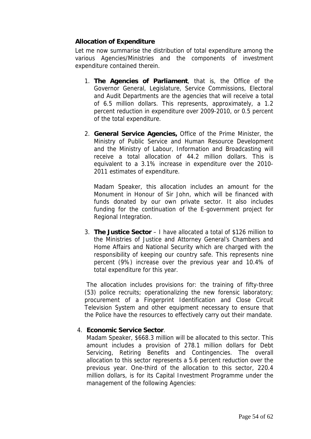## **Allocation of Expenditure**

Let me now summarise the distribution of total expenditure among the various Agencies/Ministries and the components of investment expenditure contained therein.

- 1. **The Agencies of Parliament**, that is, the Office of the Governor General, Legislature, Service Commissions, Electoral and Audit Departments are the agencies that will receive a total of 6.5 million dollars. This represents, approximately, a 1.2 percent reduction in expenditure over 2009-2010, or 0.5 percent of the total expenditure.
- 2. **General Service Agencies,** Office of the Prime Minister, the Ministry of Public Service and Human Resource Development and the Ministry of Labour, Information and Broadcasting will receive a total allocation of 44.2 million dollars. This is equivalent to a 3.1% increase in expenditure over the 2010- 2011 estimates of expenditure.

Madam Speaker, this allocation includes an amount for the Monument in Honour of Sir John, which will be financed with funds donated by our own private sector. It also includes funding for the continuation of the E-government project for Regional Integration.

3. **The Justice Sector** – I have allocated a total of \$126 million to the Ministries of Justice and Attorney General's Chambers and Home Affairs and National Security which are charged with the responsibility of keeping our country safe. This represents nine percent (9%) increase over the previous year and 10.4% of total expenditure for this year.

The allocation includes provisions for: the training of fifty-three (53) police recruits; operationalizing the new forensic laboratory; procurement of a Fingerprint Identification and Close Circuit Television System and other equipment necessary to ensure that the Police have the resources to effectively carry out their mandate.

## 4. **Economic Service Sector**.

Madam Speaker, \$668.3 million will be allocated to this sector. This amount includes a provision of 278.1 million dollars for Debt Servicing, Retiring Benefits and Contingencies. The overall allocation to this sector represents a 5.6 percent reduction over the previous year. One-third of the allocation to this sector, 220.4 million dollars, is for its Capital Investment Programme under the management of the following Agencies: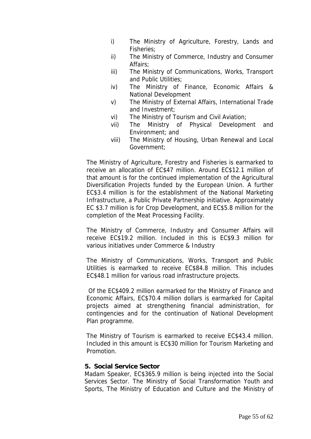- i) The Ministry of Agriculture, Forestry, Lands and Fisheries;
- ii) The Ministry of Commerce, Industry and Consumer Affairs;
- iii) The Ministry of Communications, Works, Transport and Public Utilities;
- iv) The Ministry of Finance, Economic Affairs & National Development
- v) The Ministry of External Affairs, International Trade and Investment;
- vi) The Ministry of Tourism and Civil Aviation;
- vii) The Ministry of Physical Development and Environment; and
- viii) The Ministry of Housing, Urban Renewal and Local Government;

The Ministry of Agriculture, Forestry and Fisheries is earmarked to receive an allocation of EC\$47 million. Around EC\$12.1 million of that amount is for the continued implementation of the Agricultural Diversification Projects funded by the European Union. A further EC\$3.4 million is for the establishment of the National Marketing Infrastructure, a Public Private Partnership initiative. Approximately EC \$3.7 million is for Crop Development, and EC\$5.8 million for the completion of the Meat Processing Facility.

The Ministry of Commerce, Industry and Consumer Affairs will receive EC\$19.2 million. Included in this is EC\$9.3 million for various initiatives under Commerce & Industry

The Ministry of Communications, Works, Transport and Public Utilities is earmarked to receive EC\$84.8 million. This includes EC\$48.1 million for various road infrastructure projects.

 Of the EC\$409.2 million earmarked for the Ministry of Finance and Economic Affairs, EC\$70.4 million dollars is earmarked for Capital projects aimed at strengthening financial administration, for contingencies and for the continuation of National Development Plan programme.

The Ministry of Tourism is earmarked to receive EC\$43.4 million. Included in this amount is EC\$30 million for Tourism Marketing and Promotion.

#### **5. Social Service Sector**

Madam Speaker, EC\$365.9 million is being injected into the Social Services Sector. The Ministry of Social Transformation Youth and Sports, The Ministry of Education and Culture and the Ministry of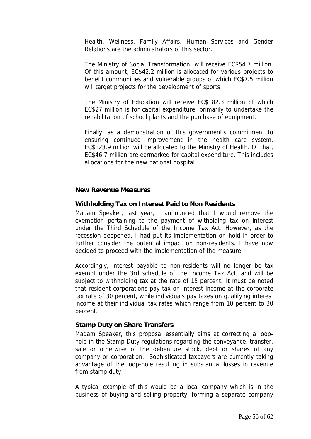Health, Wellness, Family Affairs, Human Services and Gender Relations are the administrators of this sector.

The Ministry of Social Transformation, will receive EC\$54.7 million. Of this amount, EC\$42.2 million is allocated for various projects to benefit communities and vulnerable groups of which EC\$7.5 million will target projects for the development of sports.

The Ministry of Education will receive EC\$182.3 million of which EC\$27 million is for capital expenditure, primarily to undertake the rehabilitation of school plants and the purchase of equipment.

Finally, as a demonstration of this government's commitment to ensuring continued improvement in the health care system, EC\$128.9 million will be allocated to the Ministry of Health. Of that, EC\$46.7 million are earmarked for capital expenditure. This includes allocations for the new national hospital.

#### **New Revenue Measures**

## **Withholding Tax on Interest Paid to Non Residents**

Madam Speaker, last year, I announced that I would remove the exemption pertaining to the payment of witholding tax on interest under the Third Schedule of the Income Tax Act. However, as the recession deepened, I had put its implementation on hold in order to further consider the potential impact on non-residents. I have now decided to proceed with the implementation of the measure.

Accordingly, interest payable to non-residents will no longer be tax exempt under the 3rd schedule of the Income Tax Act, and will be subject to withholding tax at the rate of 15 percent. It must be noted that resident corporations pay tax on interest income at the corporate tax rate of 30 percent, while individuals pay taxes on qualifying interest income at their individual tax rates which range from 10 percent to 30 percent.

#### **Stamp Duty on Share Transfers**

Madam Speaker, this proposal essentially aims at correcting a loophole in the Stamp Duty regulations regarding the conveyance, transfer, sale or otherwise of the debenture stock, debt or shares of any company or corporation. Sophisticated taxpayers are currently taking advantage of the loop-hole resulting in substantial losses in revenue from stamp duty.

A typical example of this would be a local company which is in the business of buying and selling property, forming a separate company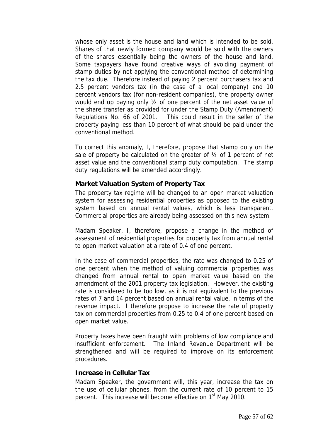whose only asset is the house and land which is intended to be sold. Shares of that newly formed company would be sold with the owners of the shares essentially being the owners of the house and land. Some taxpayers have found creative ways of avoiding payment of stamp duties by not applying the conventional method of determining the tax due. Therefore instead of paying 2 percent purchasers tax and 2.5 percent vendors tax (in the case of a local company) and 10 percent vendors tax (for non-resident companies), the property owner would end up paying only ½ of one percent of the net asset value of the share transfer as provided for under the Stamp Duty (Amendment) Regulations No. 66 of 2001. This could result in the seller of the property paying less than 10 percent of what should be paid under the conventional method.

To correct this anomaly, I, therefore, propose that stamp duty on the sale of property be calculated on the greater of  $\frac{1}{2}$  of 1 percent of net asset value and the conventional stamp duty computation. The stamp duty regulations will be amended accordingly.

#### **Market Valuation System of Property Tax**

The property tax regime will be changed to an open market valuation system for assessing residential properties as opposed to the existing system based on annual rental values, which is less transparent. Commercial properties are already being assessed on this new system.

Madam Speaker, I, therefore, propose a change in the method of assessment of residential properties for property tax from annual rental to open market valuation at a rate of 0.4 of one percent.

In the case of commercial properties, the rate was changed to 0.25 of one percent when the method of valuing commercial properties was changed from annual rental to open market value based on the amendment of the 2001 property tax legislation. However, the existing rate is considered to be too low, as it is not equivalent to the previous rates of 7 and 14 percent based on annual rental value, in terms of the revenue impact. I therefore propose to increase the rate of property tax on commercial properties from 0.25 to 0.4 of one percent based on open market value.

Property taxes have been fraught with problems of low compliance and insufficient enforcement. The Inland Revenue Department will be strengthened and will be required to improve on its enforcement procedures.

#### **Increase in Cellular Tax**

Madam Speaker, the government will, this year, increase the tax on the use of cellular phones, from the current rate of 10 percent to 15 percent. This increase will become effective on 1<sup>st</sup> May 2010.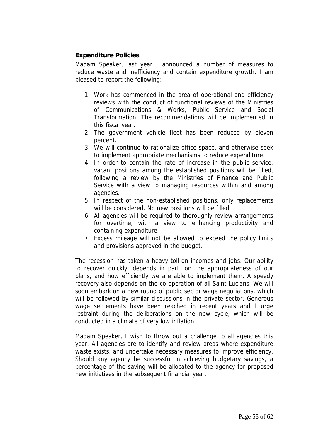## **Expenditure Policies**

Madam Speaker, last year I announced a number of measures to reduce waste and inefficiency and contain expenditure growth. I am pleased to report the following:

- 1. Work has commenced in the area of operational and efficiency reviews with the conduct of functional reviews of the Ministries of Communications & Works, Public Service and Social Transformation. The recommendations will be implemented in this fiscal year.
- 2. The government vehicle fleet has been reduced by eleven percent.
- 3. We will continue to rationalize office space, and otherwise seek to implement appropriate mechanisms to reduce expenditure.
- 4. In order to contain the rate of increase in the public service, vacant positions among the established positions will be filled, following a review by the Ministries of Finance and Public Service with a view to managing resources within and among agencies.
- 5. In respect of the non-established positions, only replacements will be considered. No new positions will be filled.
- 6. All agencies will be required to thoroughly review arrangements for overtime, with a view to enhancing productivity and containing expenditure.
- 7. Excess mileage will not be allowed to exceed the policy limits and provisions approved in the budget.

The recession has taken a heavy toll on incomes and jobs. Our ability to recover quickly, depends in part, on the appropriateness of our plans, and how efficiently we are able to implement them. A speedy recovery also depends on the co-operation of all Saint Lucians. We will soon embark on a new round of public sector wage negotiations, which will be followed by similar discussions in the private sector. Generous wage settlements have been reached in recent years and I urge restraint during the deliberations on the new cycle, which will be conducted in a climate of very low inflation.

Madam Speaker, I wish to throw out a challenge to all agencies this year. All agencies are to identify and review areas where expenditure waste exists, and undertake necessary measures to improve efficiency. Should any agency be successful in achieving budgetary savings, a percentage of the saving will be allocated to the agency for proposed new initiatives in the subsequent financial year.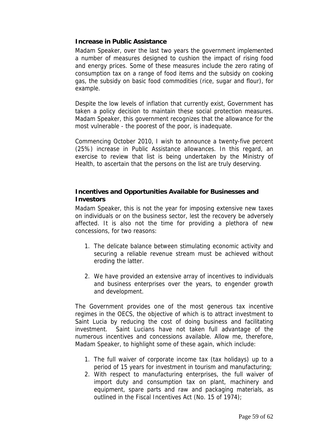## **Increase in Public Assistance**

Madam Speaker, over the last two years the government implemented a number of measures designed to cushion the impact of rising food and energy prices. Some of these measures include the zero rating of consumption tax on a range of food items and the subsidy on cooking gas, the subsidy on basic food commodities (rice, sugar and flour), for example.

Despite the low levels of inflation that currently exist, Government has taken a policy decision to maintain these social protection measures. Madam Speaker, this government recognizes that the allowance for the most vulnerable - the poorest of the poor, is inadequate.

Commencing October 2010, I wish to announce a twenty-five percent (25%) increase in Public Assistance allowances. In this regard, an exercise to review that list is being undertaken by the Ministry of Health, to ascertain that the persons on the list are truly deserving.

## **Incentives and Opportunities Available for Businesses and Investors**

Madam Speaker, this is not the year for imposing extensive new taxes on individuals or on the business sector, lest the recovery be adversely affected. It is also not the time for providing a plethora of new concessions, for two reasons:

- 1. The delicate balance between stimulating economic activity and securing a reliable revenue stream must be achieved without eroding the latter.
- 2. We have provided an extensive array of incentives to individuals and business enterprises over the years, to engender growth and development.

The Government provides one of the most generous tax incentive regimes in the OECS, the objective of which is to attract investment to Saint Lucia by reducing the cost of doing business and facilitating investment. Saint Lucians have not taken full advantage of the numerous incentives and concessions available. Allow me, therefore, Madam Speaker, to highlight some of these again, which include:

- 1. The full waiver of corporate income tax (tax holidays) up to a period of 15 years for investment in tourism and manufacturing;
- 2. With respect to manufacturing enterprises, the full waiver of import duty and consumption tax on plant, machinery and equipment, spare parts and raw and packaging materials, as outlined in the Fiscal Incentives Act (No. 15 of 1974);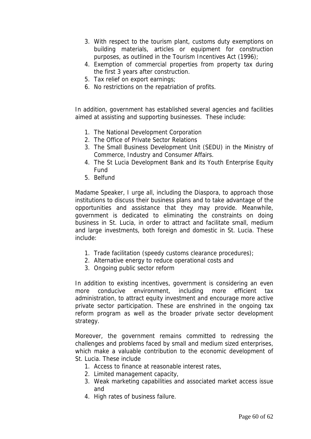- 3. With respect to the tourism plant, customs duty exemptions on building materials, articles or equipment for construction purposes, as outlined in the Tourism Incentives Act (1996);
- 4. Exemption of commercial properties from property tax during the first 3 years after construction.
- 5. Tax relief on export earnings;
- 6. No restrictions on the repatriation of profits.

In addition, government has established several agencies and facilities aimed at assisting and supporting businesses. These include:

- 1. The National Development Corporation
- 2. The Office of Private Sector Relations
- 3. The Small Business Development Unit (SEDU) in the Ministry of Commerce, Industry and Consumer Affairs.
- 4. The St Lucia Development Bank and its Youth Enterprise Equity Fund
- 5. Belfund

Madame Speaker, I urge all, including the Diaspora, to approach those institutions to discuss their business plans and to take advantage of the opportunities and assistance that they may provide. Meanwhile, government is dedicated to eliminating the constraints on doing business in St. Lucia, in order to attract and facilitate small, medium and large investments, both foreign and domestic in St. Lucia. These include:

- 1. Trade facilitation (speedy customs clearance procedures);
- 2. Alternative energy to reduce operational costs and
- 3. Ongoing public sector reform

In addition to existing incentives, government is considering an even more conducive environment, including more efficient tax administration, to attract equity investment and encourage more active private sector participation. These are enshrined in the ongoing tax reform program as well as the broader private sector development strategy.

Moreover, the government remains committed to redressing the challenges and problems faced by small and medium sized enterprises, which make a valuable contribution to the economic development of St. Lucia. These include

- 1. Access to finance at reasonable interest rates,
- 2. Limited management capacity,
- 3. Weak marketing capabilities and associated market access issue and
- 4. High rates of business failure.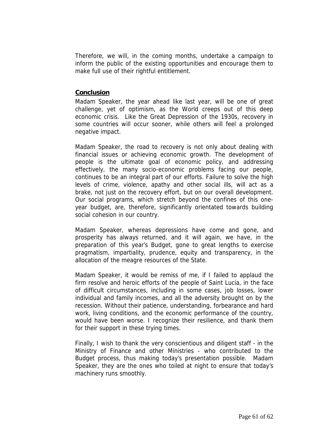Therefore, we will, in the coming months, undertake a campaign to inform the public of the existing opportunities and encourage them to make full use of their rightful entitlement.

#### **Conclusion**

Madam Speaker, the year ahead like last year, will be one of great challenge, yet of optimism, as the World creeps out of this deep economic crisis. Like the Great Depression of the 1930s, recovery in some countries will occur sooner, while others will feel a prolonged negative impact.

Madam Speaker, the road to recovery is not only about dealing with financial issues or achieving economic growth. The development of people is the ultimate goal of economic policy, and addressing effectively, the many socio-economic problems facing our people, continues to be an integral part of our efforts. Failure to solve the high levels of crime, violence, apathy and other social ills, will act as a brake, not just on the recovery effort, but on our overall development. Our social programs, which stretch beyond the confines of this oneyear budget, are, therefore, significantly orientated towards building social cohesion in our country.

Madam Speaker, whereas depressions have come and gone, and prosperity has always returned, and it will again, we have, in the preparation of this year's Budget, gone to great lengths to exercise pragmatism, impartiality, prudence, equity and transparency, in the allocation of the meagre resources of the State.

Madam Speaker, it would be remiss of me, if I failed to applaud the firm resolve and heroic efforts of the people of Saint Lucia, in the face of difficult circumstances, including in some cases, job losses, lower individual and family incomes, and all the adversity brought on by the recession. Without their patience, understanding, forbearance and hard work, living conditions, and the economic performance of the country, would have been worse. I recognize their resilience, and thank them for their support in these trying times.

Finally, I wish to thank the very conscientious and diligent staff - in the Ministry of Finance and other Ministries - who contributed to the Budget process, thus making today's presentation possible. Madam Speaker, they are the ones who toiled at night to ensure that today's machinery runs smoothly.